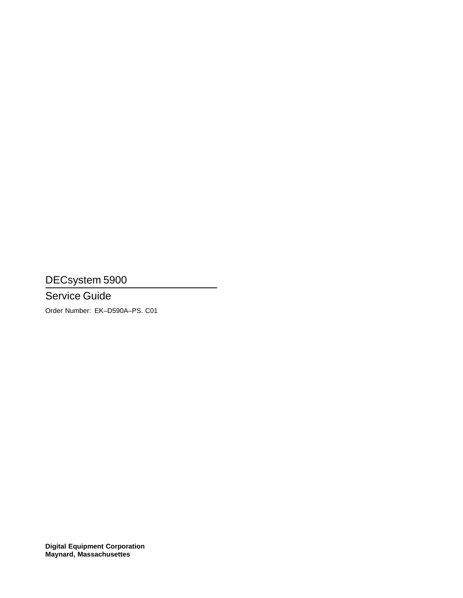DECsystem 5900

# Service Guide

Order Number: EK–D590A–PS. C01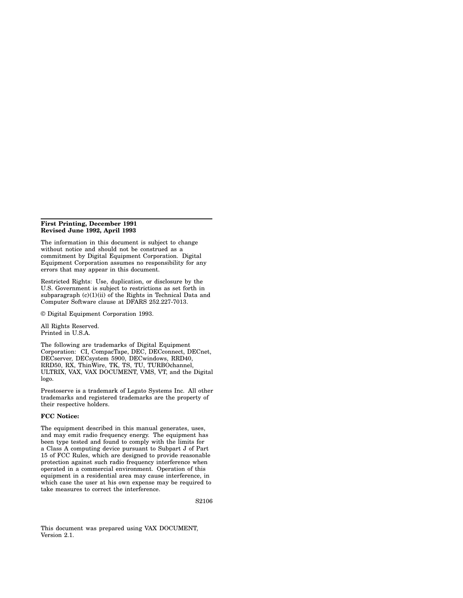#### **First Printing, December 1991 Revised June 1992, April 1993**

The information in this document is subject to change without notice and should not be construed as a commitment by Digital Equipment Corporation. Digital Equipment Corporation assumes no responsibility for any errors that may appear in this document.

Restricted Rights: Use, duplication, or disclosure by the U.S. Government is subject to restrictions as set forth in subparagraph  $(c)(1)(ii)$  of the Rights in Technical Data and Computer Software clause at DFARS 252.227-7013.

© Digital Equipment Corporation 1993.

All Rights Reserved. Printed in U.S.A.

The following are trademarks of Digital Equipment Corporation: CI, CompacTape, DEC, DECconnect, DECnet, DECserver, DECsystem 5900, DECwindows, RRD40, RRD50, RX, ThinWire, TK, TS, TU, TURBOchannel, ULTRIX, VAX, VAX DOCUMENT, VMS, VT, and the Digital logo.

Prestoserve is a trademark of Legato Systems Inc. All other trademarks and registered trademarks are the property of their respective holders.

#### **FCC Notice:**

The equipment described in this manual generates, uses, and may emit radio frequency energy. The equipment has been type tested and found to comply with the limits for a Class A computing device pursuant to Subpart J of Part 15 of FCC Rules, which are designed to provide reasonable protection against such radio frequency interference when operated in a commercial environment. Operation of this equipment in a residential area may cause interference, in which case the user at his own expense may be required to take measures to correct the interference.

S2106

This document was prepared using VAX DOCUMENT, Version 2.1.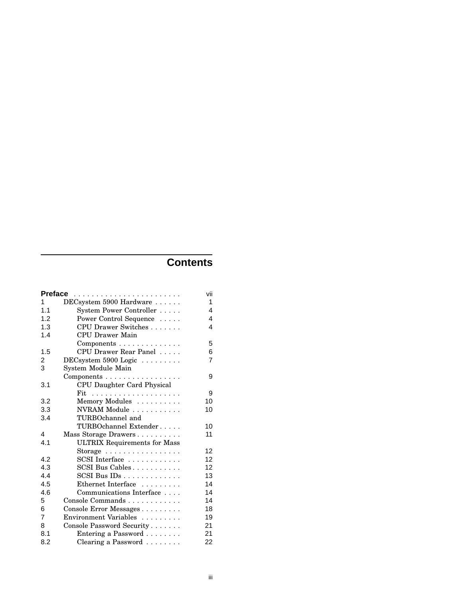# **Contents**

|     | Preface                               | vii            |
|-----|---------------------------------------|----------------|
| 1   | DECsystem 5900 Hardware               | 1              |
| 1.1 | System Power Controller               | 4              |
| 1.2 | Power Control Sequence                | 4              |
| 1.3 | CPU Drawer Switches                   | 4              |
| 1.4 | CPU Drawer Main                       |                |
|     | Components                            | 5              |
| 1.5 | CPU Drawer Rear Panel                 | 6              |
| 2   | DEC system 5900 Logic $\ldots \ldots$ | $\overline{7}$ |
| 3   | System Module Main                    |                |
|     | Components                            | 9              |
| 3.1 | CPU Daughter Card Physical            |                |
|     |                                       | 9              |
| 3.2 | Memory Modules                        | 10             |
| 3.3 | NVRAM Module                          | 10             |
| 3.4 | TURBOchannel and                      |                |
|     | TURBOchannel Extender                 | 10             |
| 4   | Mass Storage Drawers                  | 11             |
| 4.1 | <b>ULTRIX Requirements for Mass</b>   |                |
|     | Storage                               | 12             |
| 4.2 | SCSI Interface                        | 12             |
| 4.3 | SCSI Bus Cables                       | 12             |
| 4.4 | $SCSI$ Bus $IDs$                      | 13             |
| 4.5 | Ethernet Interface                    | 14             |
| 4.6 | Communications Interface              | 14             |
| 5   | Console Commands                      | 14             |
| 6   | Console Error Messages                | 18             |
| 7   | Environment Variables                 | 19             |
| 8   | Console Password Security             | 21             |
| 8.1 | Entering a Password                   | 21             |
| 8.2 | Clearing a Password                   | 22             |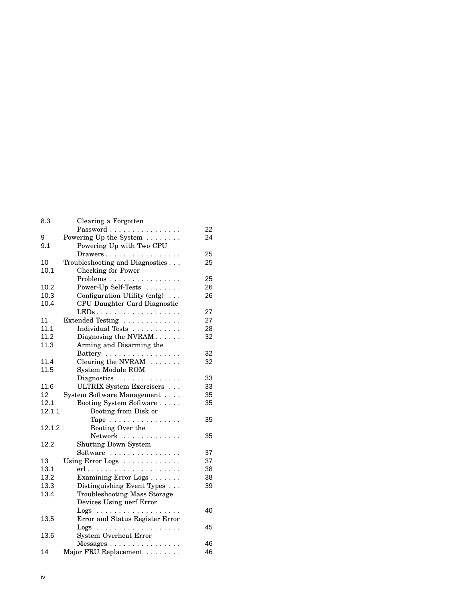| 8.3    | Clearing a Forgotten                             |    |
|--------|--------------------------------------------------|----|
|        | Password                                         | 22 |
| 9      | Powering Up the System                           | 24 |
| 9.1    | Powering Up with Two CPU                         |    |
|        | Drawers                                          | 25 |
| 10     | Troubleshooting and Diagnostics                  | 25 |
| 10.1   | <b>Checking for Power</b>                        |    |
|        | Problems                                         | 25 |
| 10.2   | Power-Up Self-Tests                              | 26 |
| 10.3   | Configuration Utility (cnfg)                     | 26 |
| 10.4   | CPU Daughter Card Diagnostic                     |    |
|        | $LEDs \ldots \ldots \ldots \ldots \ldots \ldots$ | 27 |
| 11     | Extended Testing                                 | 27 |
| 11.1   | Individual Tests                                 | 28 |
| 11.2   | Diagnosing the NVRAM                             | 32 |
| 11.3   | Arming and Disarming the                         |    |
|        | Battery                                          | 32 |
| 11.4   | Clearing the NVRAM                               | 32 |
| 11.5   | System Module ROM                                |    |
|        | Diagnostics                                      | 33 |
| 11.6   | ULTRIX System Exercisers                         | 33 |
| 12     | System Software Management                       | 35 |
| 12.1   | Booting System Software                          | 35 |
| 12.1.1 | Booting from Disk or                             |    |
|        | Tape                                             | 35 |
| 12.1.2 | Booting Over the                                 |    |
|        | Network                                          | 35 |
| 12.2   | <b>Shutting Down System</b>                      |    |
|        | Software                                         | 37 |
| 13     | Using Error Logs                                 | 37 |
| 13.1   |                                                  | 38 |
| 13.2   | Examining Error Logs                             | 38 |
| 13.3   | Distinguishing Event Types                       | 39 |
| 13.4   | <b>Troubleshooting Mass Storage</b>              |    |
|        | Devices Using uerf Error                         |    |
|        |                                                  | 40 |
| 13.5   | Error and Status Register Error                  |    |
|        |                                                  | 45 |
| 13.6   | <b>System Overheat Error</b>                     |    |
|        | Messages                                         | 46 |
| 14     | Major FRU Replacement                            | 46 |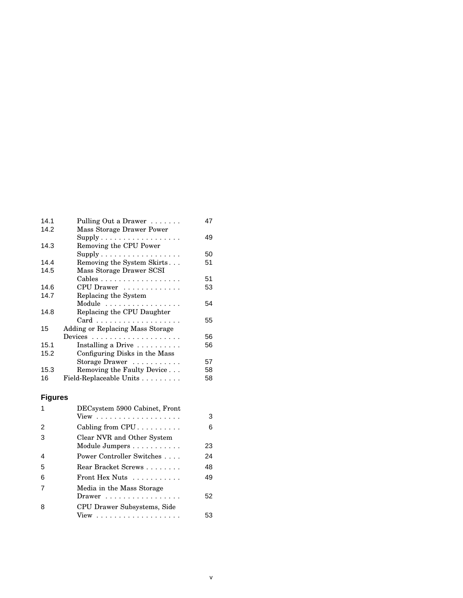| 14.1 | Pulling Out a Drawer                        | 47 |
|------|---------------------------------------------|----|
| 14.2 | Mass Storage Drawer Power                   |    |
|      | $Supply \ldots \ldots \ldots \ldots \ldots$ | 49 |
| 14.3 | Removing the CPU Power                      |    |
|      | $Supply \ldots \ldots \ldots \ldots \ldots$ | 50 |
| 14.4 | Removing the System Skirts                  | 51 |
| 14.5 | Mass Storage Drawer SCSI                    |    |
|      | Cables                                      | 51 |
| 14.6 | CPU Drawer                                  | 53 |
| 14.7 | Replacing the System                        |    |
|      | Module                                      | 54 |
| 14.8 | Replacing the CPU Daughter                  |    |
|      |                                             | 55 |
| 15   | Adding or Replacing Mass Storage            |    |
|      |                                             | 56 |
| 15.1 | Installing a Drive                          | 56 |
| 15.2 | Configuring Disks in the Mass               |    |
|      | Storage Drawer                              | 57 |
| 15.3 | Removing the Faulty Device                  | 58 |
| 16   | Field-Replaceable Units                     | 58 |

# **Figures**

|   | DECsystem 5900 Cabinet, Front |    |
|---|-------------------------------|----|
|   |                               | 3  |
| 2 | Cabling from CPU              | 6  |
| 3 | Clear NVR and Other System    |    |
|   | Module Jumpers                | 23 |
| 4 | Power Controller Switches     | 24 |
| 5 | Rear Bracket Screws           | 48 |
| 6 | Front Hex Nuts                | 49 |
| 7 | Media in the Mass Storage     |    |
|   | Drawer                        | 52 |
| 8 | CPU Drawer Subsystems, Side   |    |
|   |                               | 53 |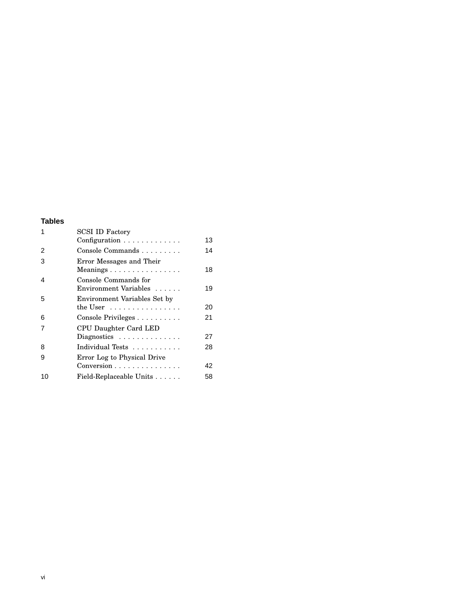# **Tables**

| <b>SCSI ID Factory</b>                                                    |    |
|---------------------------------------------------------------------------|----|
| Configuration                                                             | 13 |
| Console Commands                                                          | 14 |
| Error Messages and Their<br>Meanings                                      | 18 |
| Console Commands for<br>Environment Variables                             | 19 |
| Environment Variables Set by<br>the User $\dots\dots\dots\dots\dots\dots$ | 20 |
| Console Privileges                                                        | 21 |
| CPU Daughter Card LED                                                     |    |
| Diagnostics $\ldots \ldots \ldots \ldots$                                 | 27 |
| Individual Tests                                                          | 28 |
| Error Log to Physical Drive                                               |    |
| Conversion                                                                | 42 |
| Field-Replaceable Units                                                   | 58 |
|                                                                           |    |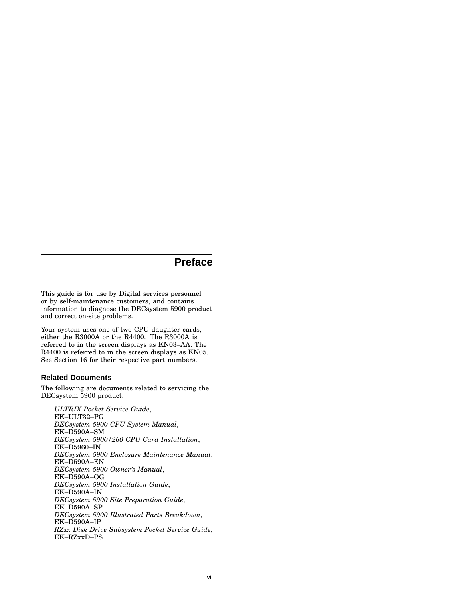# **Preface**

This guide is for use by Digital services personnel or by self-maintenance customers, and contains information to diagnose the DECsystem 5900 product and correct on-site problems.

Your system uses one of two CPU daughter cards, either the R3000A or the R4400. The R3000A is referred to in the screen displays as KN03–AA. The R4400 is referred to in the screen displays as KN05. See Section 16 for their respective part numbers.

#### **Related Documents**

The following are documents related to servicing the DECsystem 5900 product:

*ULTRIX Pocket Service Guide*, EK–ULT32–PG *DECsystem 5900 CPU System Manual*, EK–D590A–SM *DECsystem 5900/260 CPU Card Installation*, EK–D5960–IN *DECsystem 5900 Enclosure Maintenance Manual*, EK–D590A–EN *DECsystem 5900 Owner's Manual*, EK–D590A–OG *DECsystem 5900 Installation Guide*, EK–D590A–IN *DECsystem 5900 Site Preparation Guide*, EK–D590A–SP *DECsystem 5900 Illustrated Parts Breakdown*, EK–D590A–IP *RZxx Disk Drive Subsystem Pocket Service Guide*, EK–RZxxD–PS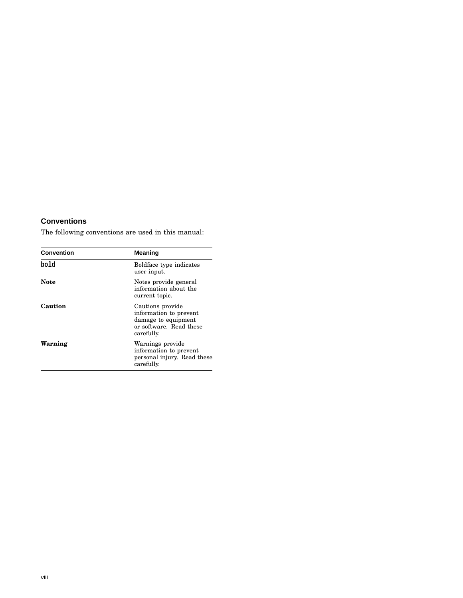# **Conventions**

The following conventions are used in this manual:

| <b>Convention</b> | Meaning                                                                                                    |
|-------------------|------------------------------------------------------------------------------------------------------------|
| bold              | Boldface type indicates<br>user input.                                                                     |
| <b>Note</b>       | Notes provide general<br>information about the<br>current topic.                                           |
| Caution           | Cautions provide<br>information to prevent<br>damage to equipment<br>or software. Read these<br>carefully. |
| Warning           | Warnings provide<br>information to prevent<br>personal injury. Read these<br>carefully.                    |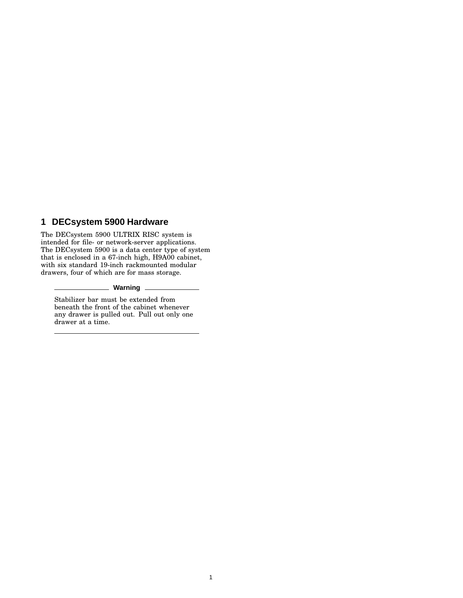# **1 DECsystem 5900 Hardware**

The DECsystem 5900 ULTRIX RISC system is intended for file- or network-server applications. The DECsystem 5900 is a data center type of system that is enclosed in a 67-inch high, H9A00 cabinet, with six standard 19-inch rackmounted modular drawers, four of which are for mass storage.

#### **Warning**

Stabilizer bar must be extended from beneath the front of the cabinet whenever any drawer is pulled out. Pull out only one drawer at a time.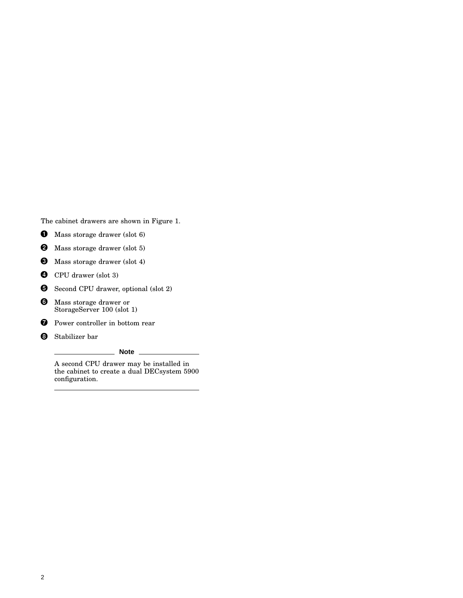The cabinet drawers are shown in Figure 1.

- $\bullet$  Mass storage drawer (slot 6)
- **2** Mass storage drawer (slot 5)
- $\bullet$  Mass storage drawer (slot 4)
- **O** CPU drawer (slot 3)
- Second CPU drawer, optional (slot 2)

**O** Mass storage drawer or StorageServer 100 (slot 1)

- **O** Power controller in bottom rear
- **3** Stabilizer bar

**Note**

A second CPU drawer may be installed in the cabinet to create a dual DECsystem 5900 configuration.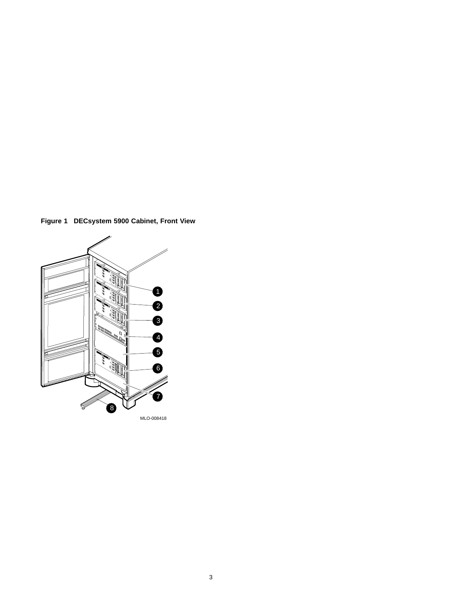**Figure 1 DECsystem 5900 Cabinet, Front View**

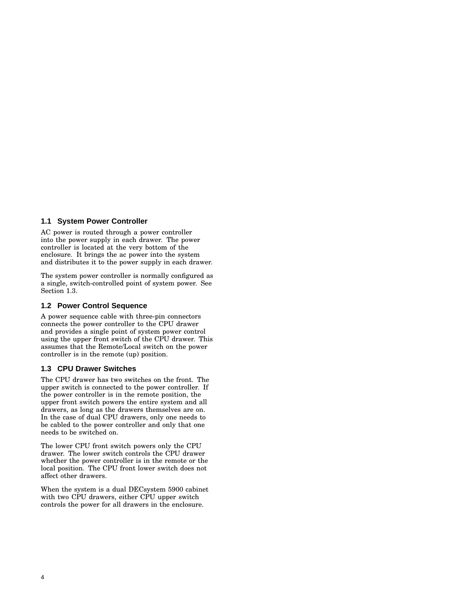#### **1.1 System Power Controller**

AC power is routed through a power controller into the power supply in each drawer. The power controller is located at the very bottom of the enclosure. It brings the ac power into the system and distributes it to the power supply in each drawer.

The system power controller is normally configured as a single, switch-controlled point of system power. See Section 1.3.

#### **1.2 Power Control Sequence**

A power sequence cable with three-pin connectors connects the power controller to the CPU drawer and provides a single point of system power control using the upper front switch of the CPU drawer. This assumes that the Remote/Local switch on the power controller is in the remote (up) position.

#### **1.3 CPU Drawer Switches**

The CPU drawer has two switches on the front. The upper switch is connected to the power controller. If the power controller is in the remote position, the upper front switch powers the entire system and all drawers, as long as the drawers themselves are on. In the case of dual CPU drawers, only one needs to be cabled to the power controller and only that one needs to be switched on.

The lower CPU front switch powers only the CPU drawer. The lower switch controls the CPU drawer whether the power controller is in the remote or the local position. The CPU front lower switch does not affect other drawers.

When the system is a dual DECsystem 5900 cabinet with two CPU drawers, either CPU upper switch controls the power for all drawers in the enclosure.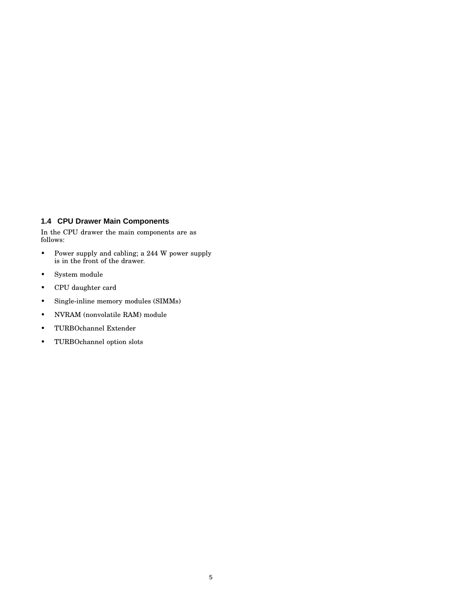# **1.4 CPU Drawer Main Components**

In the CPU drawer the main components are as follows:

- Power supply and cabling; a 244 W power supply is in the front of the drawer.
- System module
- CPU daughter card
- Single-inline memory modules (SIMMs)
- NVRAM (nonvolatile RAM) module
- TURBOchannel Extender
- TURBOchannel option slots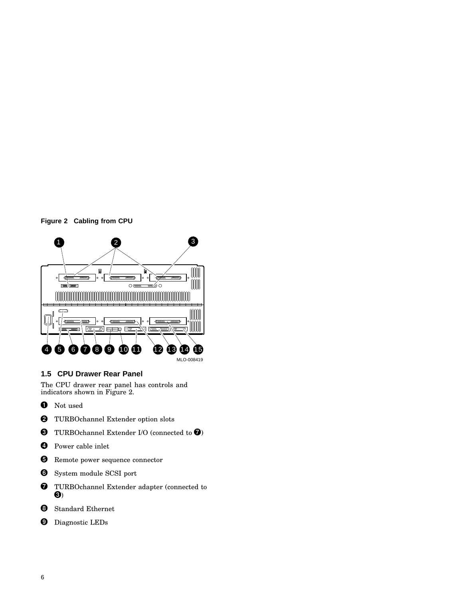



# **1.5 CPU Drawer Rear Panel**

The CPU drawer rear panel has controls and indicators shown in Figure 2.

- **O** Not used
- **2** TURBOchannel Extender option slots
- **O** TURBOchannel Extender I/O (connected to  $\bullet$ )
- **O** Power cable inlet
- **6** Remote power sequence connector
- **O** System module SCSI port
- **O** TURBOchannel Extender adapter (connected to  $\mathbf{\Theta}$
- **8** Standard Ethernet
- **9** Diagnostic LEDs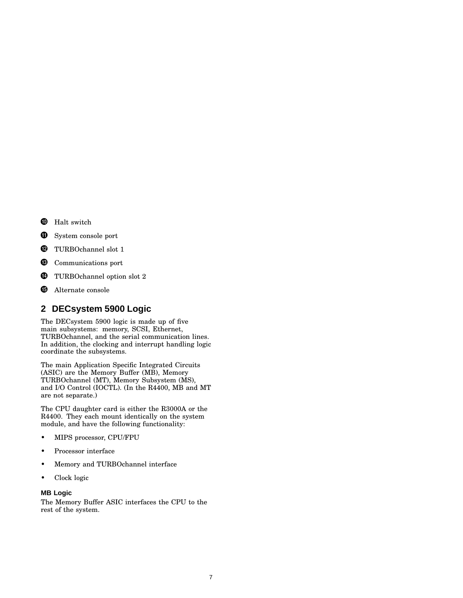- **O** Halt switch
- $\bf \Phi$ System console port
- $\bullet$  TURBOchannel slot 1
- **<sup>6</sup>** Communications port
- **<sup>1</sup>** TURBOchannel option slot 2
- $\oplus$ **Alternate console**

# **2 DECsystem 5900 Logic**

The DECsystem 5900 logic is made up of five main subsystems: memory, SCSI, Ethernet, TURBOchannel, and the serial communication lines. In addition, the clocking and interrupt handling logic coordinate the subsystems.

The main Application Specific Integrated Circuits (ASIC) are the Memory Buffer (MB), Memory TURBOchannel (MT), Memory Subsystem (MS), and I/O Control (IOCTL). (In the R4400, MB and MT are not separate.)

The CPU daughter card is either the R3000A or the R4400. They each mount identically on the system module, and have the following functionality:

- MIPS processor, CPU/FPU
- Processor interface
- Memory and TURBOchannel interface
- Clock logic

#### **MB Logic**

The Memory Buffer ASIC interfaces the CPU to the rest of the system.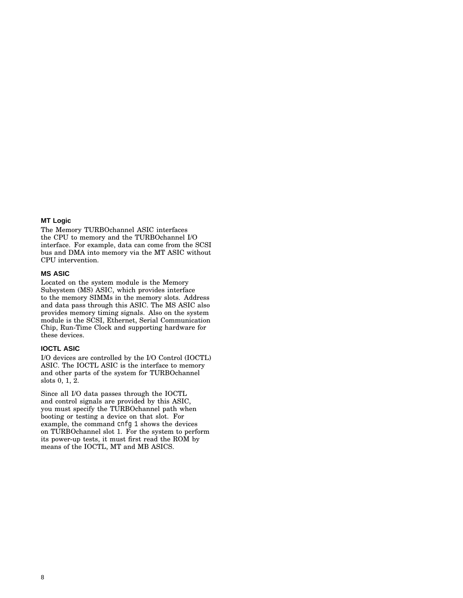#### **MT Logic**

The Memory TURBOchannel ASIC interfaces the CPU to memory and the TURBOchannel I/O interface. For example, data can come from the SCSI bus and DMA into memory via the MT ASIC without CPU intervention.

#### **MS ASIC**

Located on the system module is the Memory Subsystem (MS) ASIC, which provides interface to the memory SIMMs in the memory slots. Address and data pass through this ASIC. The MS ASIC also provides memory timing signals. Also on the system module is the SCSI, Ethernet, Serial Communication Chip, Run-Time Clock and supporting hardware for these devices.

#### **IOCTL ASIC**

I/O devices are controlled by the I/O Control (IOCTL) ASIC. The IOCTL ASIC is the interface to memory and other parts of the system for TURBOchannel slots 0, 1, 2.

Since all I/O data passes through the IOCTL and control signals are provided by this ASIC, you must specify the TURBOchannel path when booting or testing a device on that slot. For example, the command cnfg 1 shows the devices on TURBOchannel slot 1. For the system to perform its power-up tests, it must first read the ROM by means of the IOCTL, MT and MB ASICS.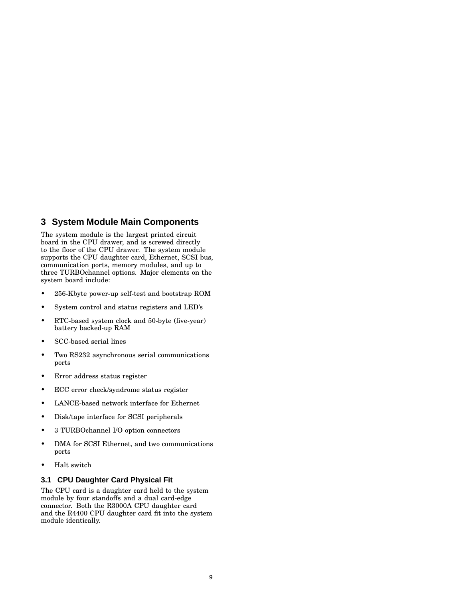# **3 System Module Main Components**

The system module is the largest printed circuit board in the CPU drawer, and is screwed directly to the floor of the CPU drawer. The system module supports the CPU daughter card, Ethernet, SCSI bus, communication ports, memory modules, and up to three TURBOchannel options. Major elements on the system board include:

- 256-Kbyte power-up self-test and bootstrap ROM
- System control and status registers and LED's
- RTC-based system clock and 50-byte (five-year) battery backed-up RAM
- SCC-based serial lines
- Two RS232 asynchronous serial communications ports
- Error address status register
- ECC error check/syndrome status register
- LANCE-based network interface for Ethernet
- Disk/tape interface for SCSI peripherals
- 3 TURBOchannel I/O option connectors
- DMA for SCSI Ethernet, and two communications ports
- Halt switch

#### **3.1 CPU Daughter Card Physical Fit**

The CPU card is a daughter card held to the system module by four standoffs and a dual card-edge connector. Both the R3000A CPU daughter card and the R4400 CPU daughter card fit into the system module identically.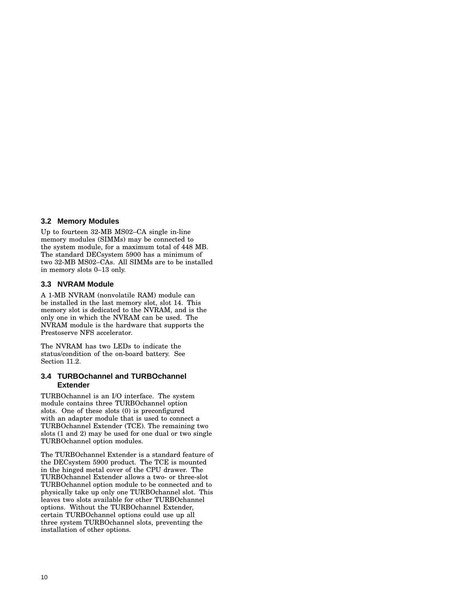#### **3.2 Memory Modules**

Up to fourteen 32-MB MS02–CA single in-line memory modules (SIMMs) may be connected to the system module, for a maximum total of 448 MB. The standard DECsystem 5900 has a minimum of two 32-MB MS02–CAs. All SIMMs are to be installed in memory slots 0–13 only.

#### **3.3 NVRAM Module**

A 1-MB NVRAM (nonvolatile RAM) module can be installed in the last memory slot, slot 14. This memory slot is dedicated to the NVRAM, and is the only one in which the NVRAM can be used. The NVRAM module is the hardware that supports the Prestoserve NFS accelerator.

The NVRAM has two LEDs to indicate the status/condition of the on-board battery. See Section 11.2.

#### **3.4 TURBOchannel and TURBOchannel Extender**

TURBOchannel is an I/O interface. The system module contains three TURBOchannel option slots. One of these slots (0) is preconfigured with an adapter module that is used to connect a TURBOchannel Extender (TCE). The remaining two slots (1 and 2) may be used for one dual or two single TURBOchannel option modules.

The TURBOchannel Extender is a standard feature of the DECsystem 5900 product. The TCE is mounted in the hinged metal cover of the CPU drawer. The TURBOchannel Extender allows a two- or three-slot TURBOchannel option module to be connected and to physically take up only one TURBOchannel slot. This leaves two slots available for other TURBOchannel options. Without the TURBOchannel Extender, certain TURBOchannel options could use up all three system TURBOchannel slots, preventing the installation of other options.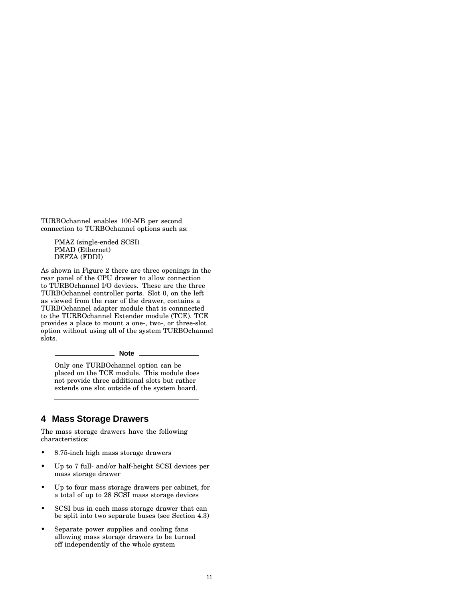TURBOchannel enables 100-MB per second connection to TURBOchannel options such as:

PMAZ (single-ended SCSI) PMAD (Ethernet) DEFZA (FDDI)

As shown in Figure 2 there are three openings in the rear panel of the CPU drawer to allow connection to TURBOchannel I/O devices. These are the three TURBOchannel controller ports. Slot 0, on the left as viewed from the rear of the drawer, contains a TURBOchannel adapter module that is connnected to the TURBOchannel Extender module (TCE). TCE provides a place to mount a one-, two-, or three-slot option without using all of the system TURBOchannel slots.

#### **Note**

Only one TURBOchannel option can be placed on the TCE module. This module does not provide three additional slots but rather extends one slot outside of the system board.

# **4 Mass Storage Drawers**

The mass storage drawers have the following characteristics:

- 8.75-inch high mass storage drawers
- Up to 7 full- and/or half-height SCSI devices per mass storage drawer
- Up to four mass storage drawers per cabinet, for a total of up to 28 SCSI mass storage devices
- SCSI bus in each mass storage drawer that can be split into two separate buses (see Section 4.3)
- Separate power supplies and cooling fans allowing mass storage drawers to be turned off independently of the whole system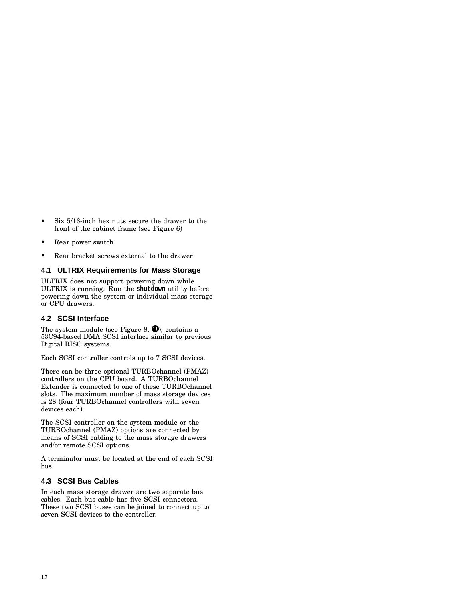- Six 5/16-inch hex nuts secure the drawer to the front of the cabinet frame (see Figure 6)
- Rear power switch
- Rear bracket screws external to the drawer

#### **4.1 ULTRIX Requirements for Mass Storage**

ULTRIX does not support powering down while ULTRIX is running. Run the **shutdown** utility before powering down the system or individual mass storage or CPU drawers.

#### **4.2 SCSI Interface**

The system module (see Figure 8,  $\bigcirc$ ), contains a 53C94-based DMA SCSI interface similar to previous Digital RISC systems.

Each SCSI controller controls up to 7 SCSI devices.

There can be three optional TURBOchannel (PMAZ) controllers on the CPU board. A TURBOchannel Extender is connected to one of these TURBOchannel slots. The maximum number of mass storage devices is 28 (four TURBOchannel controllers with seven devices each).

The SCSI controller on the system module or the TURBOchannel (PMAZ) options are connected by means of SCSI cabling to the mass storage drawers and/or remote SCSI options.

A terminator must be located at the end of each SCSI bus.

#### **4.3 SCSI Bus Cables**

In each mass storage drawer are two separate bus cables. Each bus cable has five SCSI connectors. These two SCSI buses can be joined to connect up to seven SCSI devices to the controller.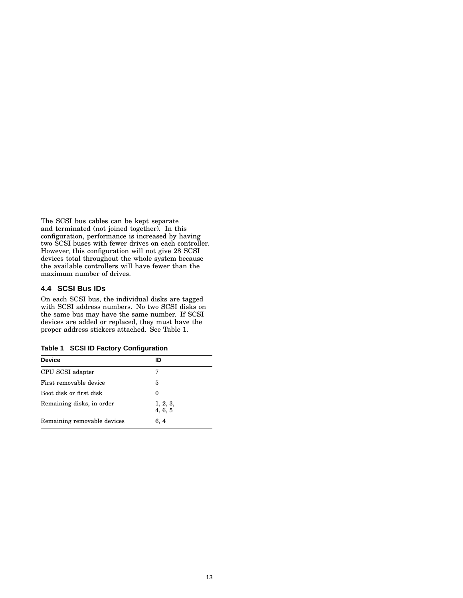The SCSI bus cables can be kept separate and terminated (not joined together). In this configuration, performance is increased by having two SCSI buses with fewer drives on each controller. However, this configuration will not give 28 SCSI devices total throughout the whole system because the available controllers will have fewer than the maximum number of drives.

#### **4.4 SCSI Bus IDs**

On each SCSI bus, the individual disks are tagged with SCSI address numbers. No two SCSI disks on the same bus may have the same number. If SCSI devices are added or replaced, they must have the proper address stickers attached. See Table 1.

**Table 1 SCSI ID Factory Configuration**

| <b>Device</b>               | ID                  |  |
|-----------------------------|---------------------|--|
| CPU SCSI adapter            | 7                   |  |
| First removable device      | 5                   |  |
| Boot disk or first disk     | 0                   |  |
| Remaining disks, in order   | 1, 2, 3,<br>4, 6, 5 |  |
| Remaining removable devices | 6, 4                |  |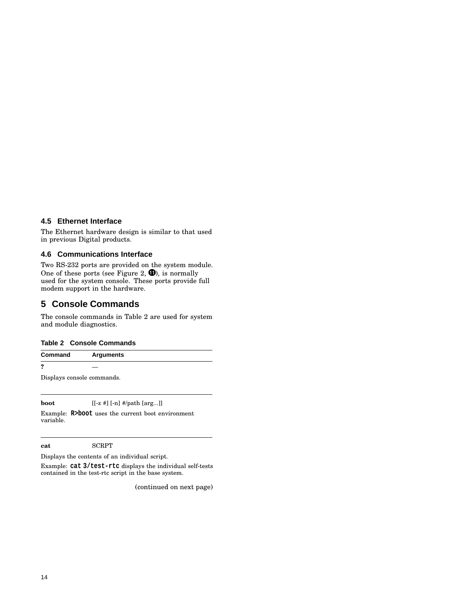#### **4.5 Ethernet Interface**

The Ethernet hardware design is similar to that used in previous Digital products.

#### **4.6 Communications Interface**

Two RS-232 ports are provided on the system module. One of these ports (see Figure 2,  $\bigcirc$ ), is normally used for the system console. These ports provide full modem support in the hardware.

# **5 Console Commands**

The console commands in Table 2 are used for system and module diagnostics.

#### **Table 2 Console Commands**

**Command Arguments**

**?** —

Displays console commands.

**boot**  $[[-z #] [-n] # / path [arg...]]$ 

Example: **R>boot** uses the current boot environment variable.

**cat** SCRPT

Displays the contents of an individual script.

Example: **cat 3/test-rtc** displays the individual self-tests contained in the test-rtc script in the base system.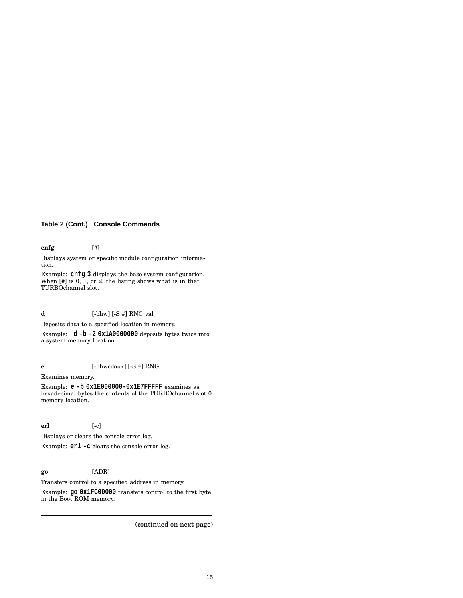### **Table 2 (Cont.) Console Commands**

#### **cnfg** [#]

Displays system or specific module configuration information.

Example: **cnfg 3** displays the base system configuration. When [#] is 0, 1, or 2, the listing shows what is in that TURBOchannel slot.

#### **d** [-bhw] [-S #] RNG val

Deposits data to a specified location in memory.

Example: **d -b -2 0x1A0000000** deposits bytes twice into a system memory location.

**e** [-bhwcdoux] [-S #] RNG

Examines memory.

Example: **e -b 0x1E000000-0x1E7FFFFF** examines as hexadecimal bytes the contents of the TURBOchannel slot 0 memory location.

#### **erl** [-c]

Displays or clears the console error log.

Example: **erl -c** clears the console error log.

#### **go** [ADR]

Transfers control to a specified address in memory. Example: **go 0x1FC00000** transfers control to the first byte in the Boot ROM memory.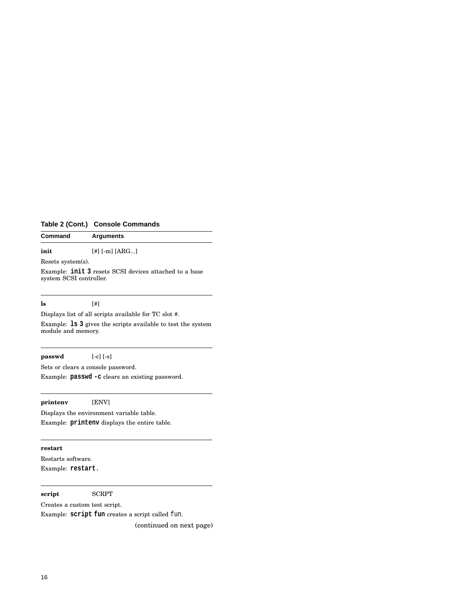# **Table 2 (Cont.) Console Commands**

| Command           | <b>Arguments</b> |  |
|-------------------|------------------|--|
| init              | $[#]$ [-m] [ARG] |  |
| Resets system(s). |                  |  |

Example: **init 3** resets SCSI devices attached to a base system SCSI controller.

# **ls** [#]

Displays list of all scripts available for TC slot #.

Example: **ls 3** gives the scripts available to test the system module and memory.

#### **passwd** [-c] [-s]

Sets or clears a console password.

Example: **passwd -c** clears an existing password.

#### **printenv** [ENV]

Displays the environment variable table. Example: **printenv** displays the entire table.

## **restart**

Restarts software. Example: **restart**.

#### **script** SCRPT

Creates a custom test script.

Example: **script fun** creates a script called fun.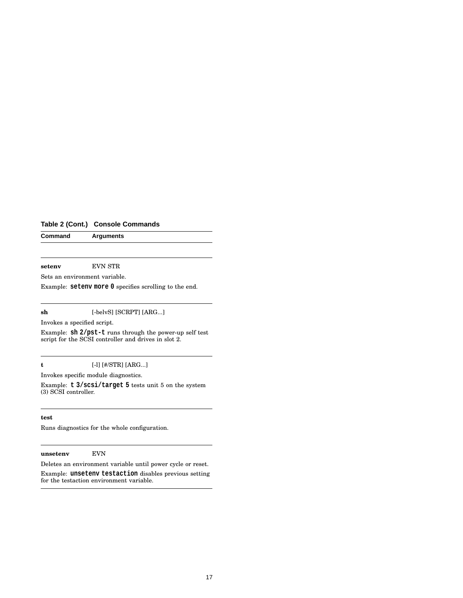# **Table 2 (Cont.) Console Commands**

**Command Arguments**

**setenv** EVN STR

Sets an environment variable.

Example: **setenv more 0** specifies scrolling to the end.

#### **sh** [-belvS] [SCRPT] [ARG...]

Invokes a specified script.

Example: **sh 2/pst-t** runs through the power-up self test script for the SCSI controller and drives in slot 2.

#### **t** [-l] [#/STR] [ARG...]

Invokes specific module diagnostics.

Example: **t 3/scsi/target 5** tests unit 5 on the system (3) SCSI controller.

#### **test**

Runs diagnostics for the whole configuration.

#### **unsetenv** EVN

Deletes an environment variable until power cycle or reset.

Example: **unsetenv testaction** disables previous setting for the testaction environment variable.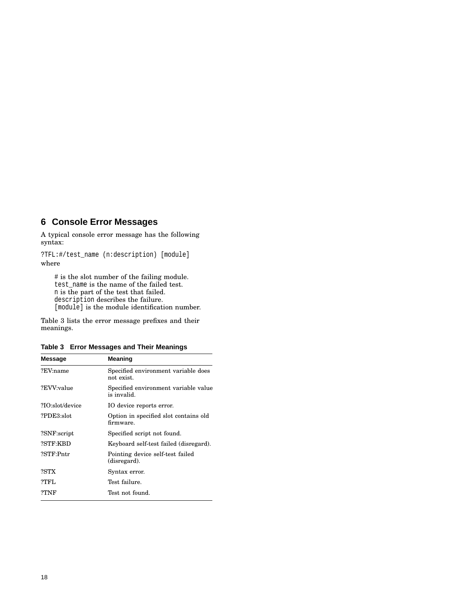# **6 Console Error Messages**

A typical console error message has the following syntax:

?TFL:#/test\_name (n:description) [module] where

# is the slot number of the failing module. test\_name is the name of the failed test. n is the part of the test that failed. description describes the failure. [module] is the module identification number.

Table 3 lists the error message prefixes and their meanings.

|  |  | Table 3 Error Messages and Their Meanings |  |  |  |
|--|--|-------------------------------------------|--|--|--|
|--|--|-------------------------------------------|--|--|--|

| <b>Message</b>  | Meaning                                             |
|-----------------|-----------------------------------------------------|
| ?EV:name        | Specified environment variable does<br>not exist.   |
| ?EVV:value      | Specified environment variable value<br>is invalid. |
| ?IO:slot/device | IO device reports error.                            |
| ?PDE3:slot      | Option in specified slot contains old<br>firmware.  |
| ?SNF:script     | Specified script not found.                         |
| ?STF:KBD        | Keyboard self-test failed (disregard).              |
| ?STF:Pntr       | Pointing device self-test failed<br>(disregard).    |
| ?STX            | Syntax error.                                       |
| ?TFL            | Test failure.                                       |
| ?TNF            | Test not found.                                     |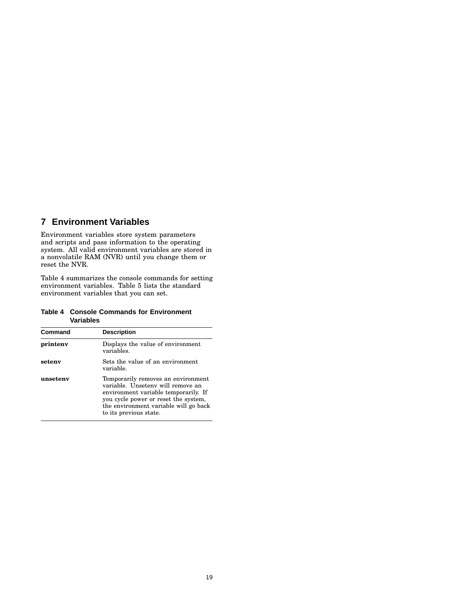# **7 Environment Variables**

Environment variables store system parameters and scripts and pass information to the operating system. All valid environment variables are stored in a nonvolatile RAM (NVR) until you change them or reset the NVR.

Table 4 summarizes the console commands for setting environment variables. Table 5 lists the standard environment variables that you can set.

#### **Table 4 Console Commands for Environment Variables**

| Command  | <b>Description</b>                                                                                                                                                                                                         |
|----------|----------------------------------------------------------------------------------------------------------------------------------------------------------------------------------------------------------------------------|
| printeny | Displays the value of environment<br>variables.                                                                                                                                                                            |
| seteny   | Sets the value of an environment<br>variable.                                                                                                                                                                              |
| unseteny | Temporarily removes an environment<br>variable. Unseteny will remove an<br>environment variable temporarily. If<br>you cycle power or reset the system,<br>the environment variable will go back<br>to its previous state. |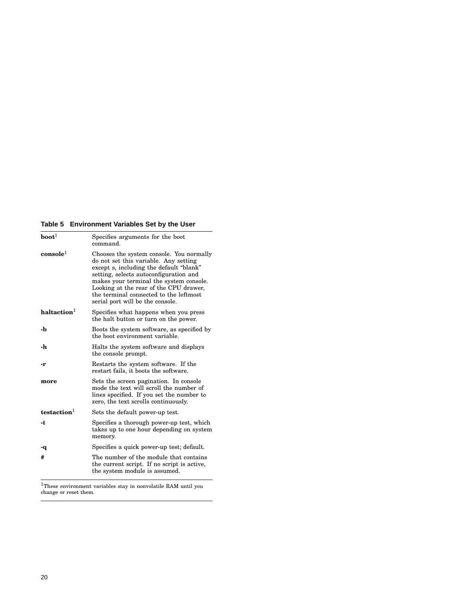# **Table 5 Environment Variables Set by the User**

| $\textbf{boot}^1$       | Specifies arguments for the boot<br>command.                                                                                                                                                                                                                                                                                              |
|-------------------------|-------------------------------------------------------------------------------------------------------------------------------------------------------------------------------------------------------------------------------------------------------------------------------------------------------------------------------------------|
| $\,$ console $^1$       | Chooses the system console. You normally<br>do not set this variable. Any setting<br>except s, including the default "blank"<br>setting, selects autoconfiguration and<br>makes your terminal the system console.<br>Looking at the rear of the CPU drawer,<br>the terminal connected to the leftmost<br>serial port will be the console. |
| haltaction <sup>1</sup> | Specifies what happens when you press<br>the halt button or turn on the power.                                                                                                                                                                                                                                                            |
| -b                      | Boots the system software, as specified by<br>the boot environment variable.                                                                                                                                                                                                                                                              |
| -h                      | Halts the system software and displays<br>the console prompt.                                                                                                                                                                                                                                                                             |
| -r                      | Restarts the system software. If the<br>restart fails, it boots the software.                                                                                                                                                                                                                                                             |
| more                    | Sets the screen pagination. In console<br>mode the text will scroll the number of<br>lines specified. If you set the number to<br>zero, the text scrolls continuously.                                                                                                                                                                    |
| testaction <sup>1</sup> | Sets the default power-up test.                                                                                                                                                                                                                                                                                                           |
| -t                      | Specifies a thorough power-up test, which<br>takes up to one hour depending on system<br>memory.                                                                                                                                                                                                                                          |
| -q                      | Specifies a quick power-up test; default.                                                                                                                                                                                                                                                                                                 |
| #                       | The number of the module that contains<br>the current script. If no script is active,<br>the system module is assumed.                                                                                                                                                                                                                    |

 $^{1}$ These environment variables stay in nonvolatile RAM until you<br>change or reset them.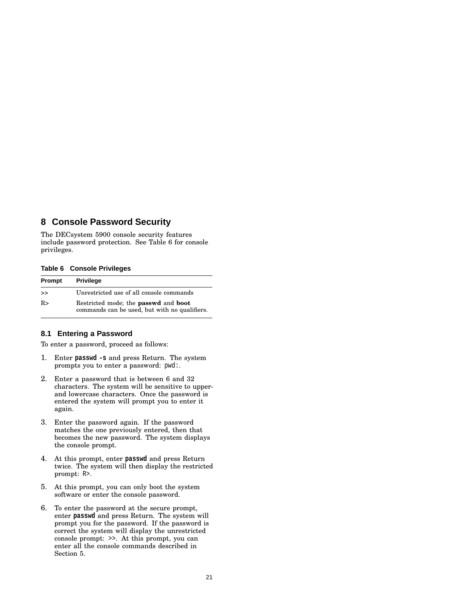# **8 Console Password Security**

The DECsystem 5900 console security features include password protection. See Table 6 for console privileges.

#### **Table 6 Console Privileges**

| Prompt     | <b>Privilege</b>                                                                                    |
|------------|-----------------------------------------------------------------------------------------------------|
| >          | Unrestricted use of all console commands                                                            |
| $R_{\geq}$ | Restricted mode; the <b>passwd</b> and <b>boot</b><br>commands can be used, but with no qualifiers. |

### **8.1 Entering a Password**

To enter a password, proceed as follows:

- 1. Enter **passwd -s** and press Return. The system prompts you to enter a password: pwd:.
- 2. Enter a password that is between 6 and 32 characters. The system will be sensitive to upperand lowercase characters. Once the password is entered the system will prompt you to enter it again.
- 3. Enter the password again. If the password matches the one previously entered, then that becomes the new password. The system displays the console prompt.
- 4. At this prompt, enter **passwd** and press Return twice. The system will then display the restricted prompt: R>.
- 5. At this prompt, you can only boot the system software or enter the console password.
- 6. To enter the password at the secure prompt, enter **passwd** and press Return. The system will prompt you for the password. If the password is correct the system will display the unrestricted console prompt: >>. At this prompt, you can enter all the console commands described in Section 5.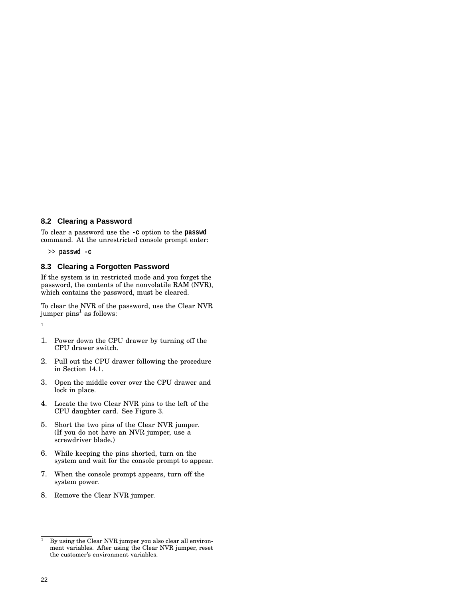#### **8.2 Clearing a Password**

To clear a password use the **-c** option to the **passwd** command. At the unrestricted console prompt enter:

>> **passwd -c**

### **8.3 Clearing a Forgotten Password**

If the system is in restricted mode and you forget the password, the contents of the nonvolatile RAM (NVR), which contains the password, must be cleared.

To clear the NVR of the password, use the Clear NVR jumper pins $^{\rm l}$  as follows:

1

- 1. Power down the CPU drawer by turning off the CPU drawer switch.
- 2. Pull out the CPU drawer following the procedure in Section 14.1.
- 3. Open the middle cover over the CPU drawer and lock in place.
- 4. Locate the two Clear NVR pins to the left of the CPU daughter card. See Figure 3.
- 5. Short the two pins of the Clear NVR jumper. (If you do not have an NVR jumper, use a screwdriver blade.)
- 6. While keeping the pins shorted, turn on the system and wait for the console prompt to appear.
- 7. When the console prompt appears, turn off the system power.
- 8. Remove the Clear NVR jumper.

 $\overline{1}$  By using the Clear NVR jumper you also clear all environment variables. After using the Clear NVR jumper, reset the customer's environment variables.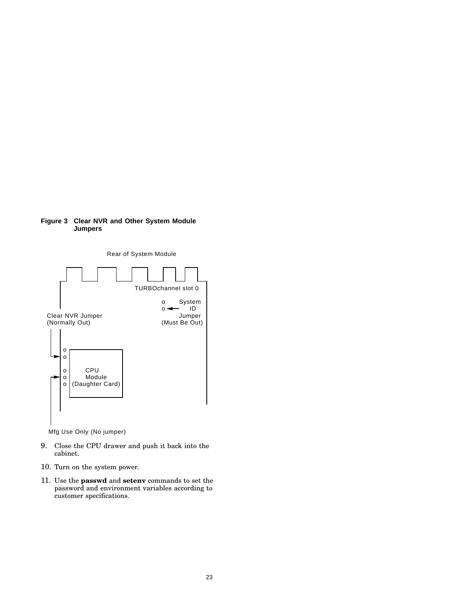



Mfg Use Only (No jumper)

- 9. Close the CPU drawer and push it back into the cabinet.
- 10. Turn on the system power.
- 11. Use the **passwd** and **setenv** commands to set the password and environment variables according to customer specifications.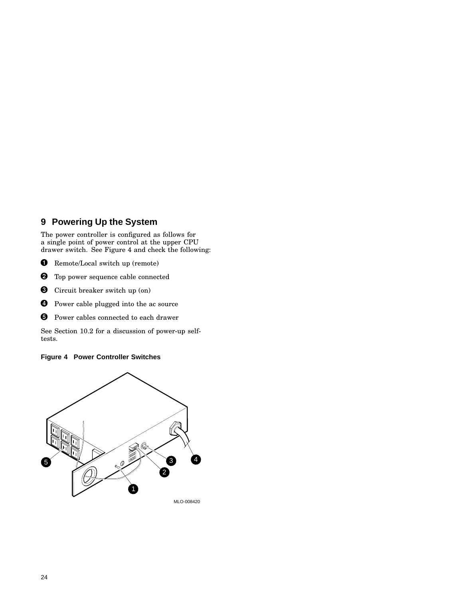# **9 Powering Up the System**

The power controller is configured as follows for a single point of power control at the upper CPU drawer switch. See Figure 4 and check the following:

- **O** Remote/Local switch up (remote)
- **2** Top power sequence cable connected
- **O** Circuit breaker switch up (on)
- **O** Power cable plugged into the ac source
- **O** Power cables connected to each drawer

See Section 10.2 for a discussion of power-up selftests.

### **Figure 4 Power Controller Switches**

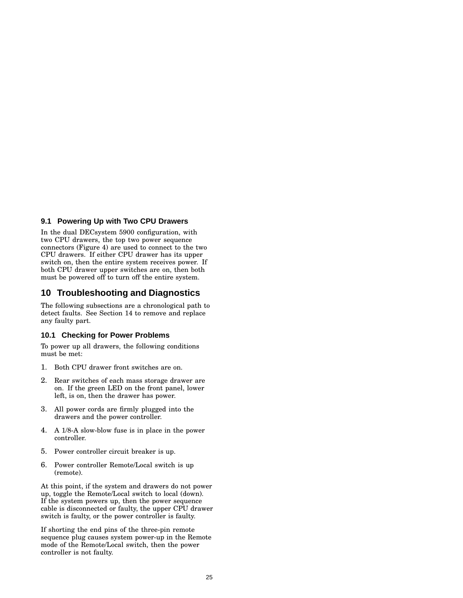#### **9.1 Powering Up with Two CPU Drawers**

In the dual DECsystem 5900 configuration, with two CPU drawers, the top two power sequence connectors (Figure 4) are used to connect to the two CPU drawers. If either CPU drawer has its upper switch on, then the entire system receives power. If both CPU drawer upper switches are on, then both must be powered off to turn off the entire system.

# **10 Troubleshooting and Diagnostics**

The following subsections are a chronological path to detect faults. See Section 14 to remove and replace any faulty part.

#### **10.1 Checking for Power Problems**

To power up all drawers, the following conditions must be met:

- 1. Both CPU drawer front switches are on.
- 2. Rear switches of each mass storage drawer are on. If the green LED on the front panel, lower left, is on, then the drawer has power.
- 3. All power cords are firmly plugged into the drawers and the power controller.
- 4. A 1/8-A slow-blow fuse is in place in the power controller.
- 5. Power controller circuit breaker is up.
- 6. Power controller Remote/Local switch is up (remote).

At this point, if the system and drawers do not power up, toggle the Remote/Local switch to local (down). If the system powers up, then the power sequence cable is disconnected or faulty, the upper CPU drawer switch is faulty, or the power controller is faulty.

If shorting the end pins of the three-pin remote sequence plug causes system power-up in the Remote mode of the Remote/Local switch, then the power controller is not faulty.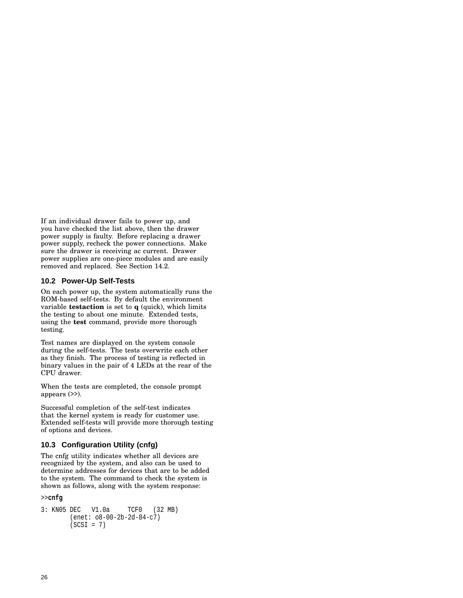If an individual drawer fails to power up, and you have checked the list above, then the drawer power supply is faulty. Before replacing a drawer power supply, recheck the power connections. Make sure the drawer is receiving ac current. Drawer power supplies are one-piece modules and are easily removed and replaced. See Section 14.2.

#### **10.2 Power-Up Self-Tests**

On each power up, the system automatically runs the ROM-based self-tests. By default the environment variable **testaction** is set to **q** (quick), which limits the testing to about one minute. Extended tests, using the **test** command, provide more thorough testing.

Test names are displayed on the system console during the self-tests. The tests overwrite each other as they finish. The process of testing is reflected in binary values in the pair of 4 LEDs at the rear of the CPU drawer.

When the tests are completed, the console prompt appears (>>).

Successful completion of the self-test indicates that the kernel system is ready for customer use. Extended self-tests will provide more thorough testing of options and devices.

## **10.3 Configuration Utility (cnfg)**

The cnfg utility indicates whether all devices are recognized by the system, and also can be used to determine addresses for devices that are to be added to the system. The command to check the system is shown as follows, along with the system response:

#### >>**cnfg**

```
3: KN05 DEC V1.0a TCF0 (32 MB)
       (enet: o8-00-2b-2d-84-c7)
       (SCSI = 7)
```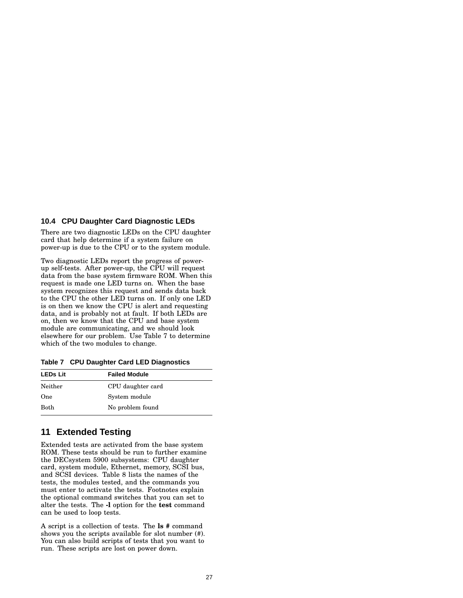#### **10.4 CPU Daughter Card Diagnostic LEDs**

There are two diagnostic LEDs on the CPU daughter card that help determine if a system failure on power-up is due to the CPU or to the system module.

Two diagnostic LEDs report the progress of powerup self-tests. After power-up, the CPU will request data from the base system firmware ROM. When this request is made one LED turns on. When the base system recognizes this request and sends data back to the CPU the other LED turns on. If only one LED is on then we know the CPU is alert and requesting data, and is probably not at fault. If both LEDs are on, then we know that the CPU and base system module are communicating, and we should look elsewhere for our problem. Use Table 7 to determine which of the two modules to change.

**Table 7 CPU Daughter Card LED Diagnostics**

| <b>LEDs Lit</b> | <b>Failed Module</b> |  |
|-----------------|----------------------|--|
| Neither         | CPU daughter card    |  |
| One             | System module        |  |
| <b>Both</b>     | No problem found     |  |

# **11 Extended Testing**

Extended tests are activated from the base system ROM. These tests should be run to further examine the DECsystem 5900 subsystems: CPU daughter card, system module, Ethernet, memory, SCSI bus, and SCSI devices. Table 8 lists the names of the tests, the modules tested, and the commands you must enter to activate the tests. Footnotes explain the optional command switches that you can set to alter the tests. The **-l** option for the **test** command can be used to loop tests.

A script is a collection of tests. The **ls #** command shows you the scripts available for slot number (#). You can also build scripts of tests that you want to run. These scripts are lost on power down.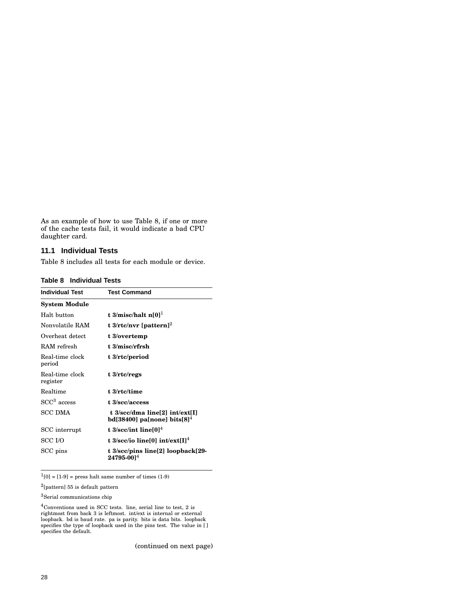As an example of how to use Table 8, if one or more of the cache tests fail, it would indicate a bad CPU daughter card.

#### **11.1 Individual Tests**

Table 8 includes all tests for each module or device.

**Table 8 Individual Tests**

| <b>Individual Test</b>      | <b>Test Command</b>                                               |
|-----------------------------|-------------------------------------------------------------------|
| <b>System Module</b>        |                                                                   |
| Halt button                 | t 3/misc/halt $n[0]$ <sup>1</sup>                                 |
| Nonvolatile RAM             | t 3/rtc/nvr [pattern] <sup>2</sup>                                |
| Overheat detect             | t 3/overtemp                                                      |
| RAM refresh                 | t 3/misc/rfrsh                                                    |
| Real-time clock<br>period   | t 3/rtc/period                                                    |
| Real-time clock<br>register | t 3/rtc/regs                                                      |
| Realtime                    | t 3/rtc/time                                                      |
| $SCC3$ access               | t 3/scc/access                                                    |
| SCC DMA                     | t 3/scc/dma line[2] int/ext[I]<br>bd[38400] pa[none] bits $[8]^4$ |
| SCC interrupt               | t $3/\text{sec}/\text{int line}[0]^4$                             |
| SCC I/O                     | t 3/scc/io line[0] int/ext[I] <sup>4</sup>                        |
| $SCC$ pins                  | t 3/scc/pins line[2] loopback[29-<br>$24795 - 0014$               |

 $<sup>1</sup>[0] = [1-9]$  = press halt same number of times (1-9)</sup>

 $^{2}$ [pattern] 55 is default pattern

<sup>3</sup>Serial communications chip

 $^4\rm{Conventions}$  used in SCC tests. line, serial line to test, 2 is rightmost from back 3 is leftmost. int/ext is internal or external loopback. bd is baud rate. pa is parity. bits is data bits. loopback specifies the type of loopback used in the pins test. The value in [ ] specifies the default.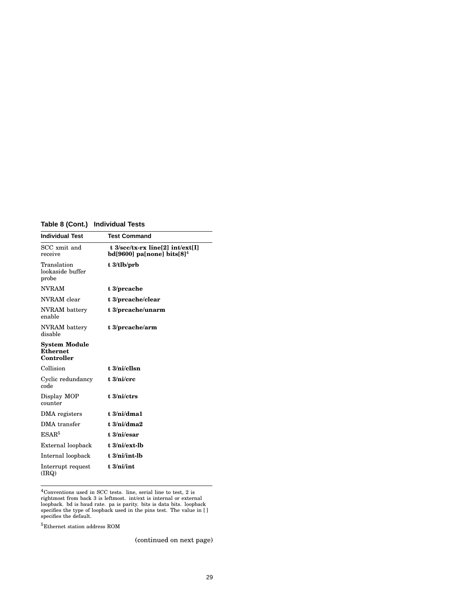# **Table 8 (Cont.) Individual Tests**

| <b>Individual Test</b>                         | <b>Test Command</b>                                                          |  |
|------------------------------------------------|------------------------------------------------------------------------------|--|
| SCC xmit and<br>receive                        | t 3/scc/tx-rx line[2] int/ext[I]<br>$bd[9600]$ pa[none] bits[8] <sup>4</sup> |  |
| Translation<br>lookaside buffer<br>probe       | $t \frac{3}{\text{1}}$ b/prb                                                 |  |
| <b>NVRAM</b>                                   | $t \frac{3}{prcache}$                                                        |  |
| NVRAM clear                                    | t 3/prcache/clear                                                            |  |
| NVRAM battery<br>enable                        | t 3/preache/unarm                                                            |  |
| NVRAM battery<br>disable                       | t 3/prcache/arm                                                              |  |
| System Module<br><b>Ethernet</b><br>Controller |                                                                              |  |
| Collision                                      | $t.3/ni$ /cllsn                                                              |  |
| Cyclic redundancy<br>code                      | $t \frac{3}{n}$                                                              |  |
| Display MOP<br>counter                         | $t \frac{3}{ni}$                                                             |  |
| DMA registers                                  | t.3/ni/dma1                                                                  |  |
| DMA transfer                                   | $t \frac{3}{ni/dma2}$                                                        |  |
| ESAR <sup>5</sup>                              | t 3/ni/esar                                                                  |  |
| External loopback                              | $t \frac{3}{ni}$ /ext-lb                                                     |  |
| Internal loopback                              | $t \frac{3}{ni}$ int-l $b$                                                   |  |
| Interrupt request<br>(IRQ)                     | $t \frac{3}{ni}$ int                                                         |  |
|                                                |                                                                              |  |

 $4$ Conventions used in SCC tests. line, serial line to test, 2 is<br>rightmost from back 3 is leftmost. int/ext is internal or external<br>loopback. bd is baud rate. pa is parity. bits is data bits. loopback<br>specifies the type

 $^5\rm{Ethernet}$  station address ROM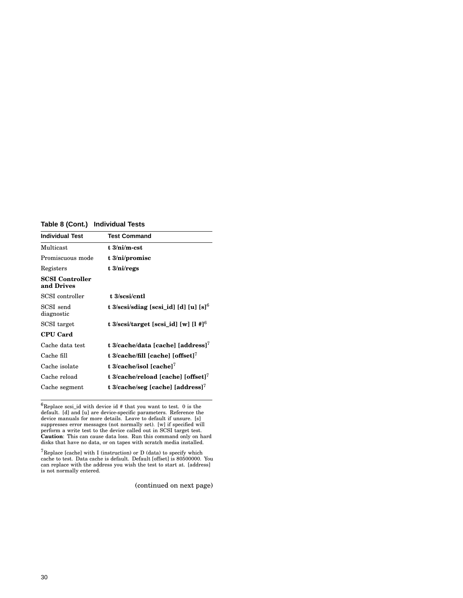# **Table 8 (Cont.) Individual Tests**

| <b>Individual Test</b>        | <b>Test Command</b>                                 |
|-------------------------------|-----------------------------------------------------|
| Multicast                     | t 3/ni/m-cst                                        |
| Promiscuous mode              | $t \frac{3}{ni}$ promisc                            |
| Registers                     | $t \frac{3}{n}$                                     |
| SCSI Controller<br>and Drives |                                                     |
| SCSI controller               | t 3/sesi/entl                                       |
| SCSI send<br>diagnostic       | t 3/scsi/sdiag [scsi_id] [d] [u] [s] <sup>6</sup>   |
| SCSI target                   | t $3$ /scsi/target [scsi_id] [w] [l #] <sup>6</sup> |
| <b>CPU Card</b>               |                                                     |
| Cache data test               | t 3/cache/data [cache] [address] <sup>7</sup>       |
| Cache fill                    | t $3$ /cache/fill [cache] [offset] <sup>7</sup>     |
| Cache isolate                 | t 3/cache/isol [cache] $^7$                         |
| Cache reload                  | t 3/cache/reload [cache] [offset] <sup>7</sup>      |
| Cache segment                 | t 3/cache/seg [cache] [address] <sup>7</sup>        |

 ${}^{6}$ Replace scsi\_id with device id # that you want to test. 0 is the default. [d] and [u] are device-specific parameters. Reference the device manuals for more details. Leave to default if unsure. [s] suppresses error messages (not normally set). [w] if specified will perform a write test to the device called out in SCSI target test. **Caution**: This can cause data loss. Run this command only on hard disks that have no data, or on tapes with scratch media installed.

 ${\rm ^7}$ Replace [cache] with I (instruction) or D (data) to specify which cache to test. Data cache is default. Default [offset] is 80500000. You can replace with the address you wish the test to start at. [address] is not normally entered.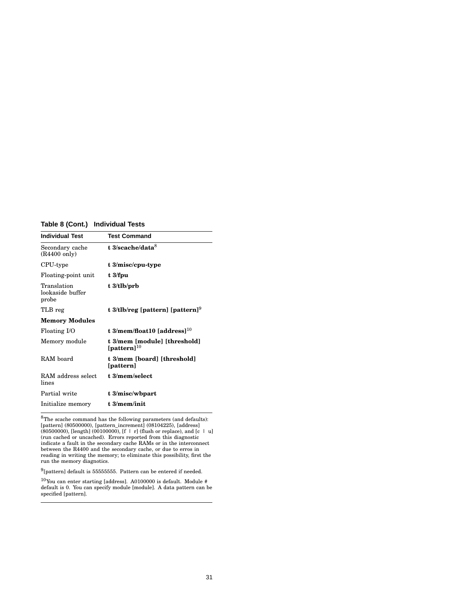# **Table 8 (Cont.) Individual Tests**

| <b>Individual Test</b>                    | <b>Test Command</b>                               |
|-------------------------------------------|---------------------------------------------------|
| Secondary cache<br>$(R4400 \text{ only})$ | t 3/scache/data $8$                               |
| CPU-type                                  | t 3/misc/cpu-type                                 |
| Floating-point unit                       | $t \frac{3}{fpu}$                                 |
| Translation<br>lookaside buffer<br>probe  | $t \frac{3}{t}$ lb/prb                            |
| TLB reg                                   | t 3/tlb/reg [pattern] [pattern] <sup>9</sup>      |
| <b>Memory Modules</b>                     |                                                   |
| Floating I/O                              | t 3/mem/float10 [address] $10$                    |
| Memory module                             | t 3/mem [module] [threshold]<br>[pattern] $^{10}$ |
| RAM board                                 | t 3/mem [board] [threshold]<br>[pattern]          |
| RAM address select<br>lines               | t 3/mem/select                                    |
| Partial write                             | t 3/misc/wbpart                                   |
| Initialize memory                         | $t \frac{3}{\text{mem}}$                          |

<sup>8</sup>The scache command has the following parameters (and defaults):<br>[pattern] (80500000), [pattern\_increment] (08104225), [address] (80500000), [length] (00100000), [f | r] (flush or replace), and [c | u] (run cached or un

 $^{9}$ [pattern] default is 55555555. Pattern can be entered if needed.

 $^{10}\rm{You}$  can enter starting [address]. A0100000 is default. Module # default is 0. You can specify module [module]. A data pattern can be specified [pattern].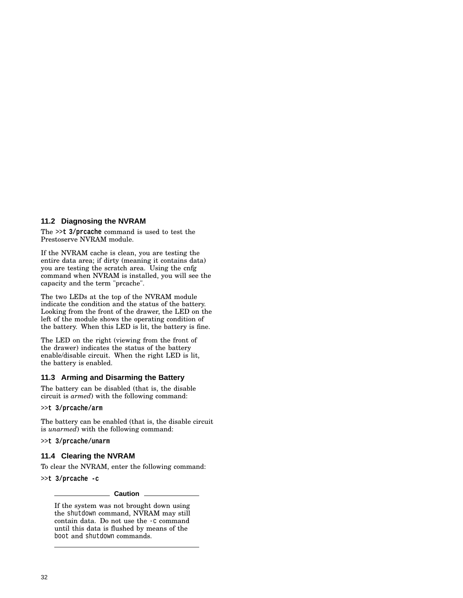#### **11.2 Diagnosing the NVRAM**

The >>**t 3/prcache** command is used to test the Prestoserve NVRAM module.

If the NVRAM cache is clean, you are testing the entire data area; if dirty (meaning it contains data) you are testing the scratch area. Using the cnfg command when NVRAM is installed, you will see the capacity and the term "prcache".

The two LEDs at the top of the NVRAM module indicate the condition and the status of the battery. Looking from the front of the drawer, the LED on the left of the module shows the operating condition of the battery. When this LED is lit, the battery is fine.

The LED on the right (viewing from the front of the drawer) indicates the status of the battery enable/disable circuit. When the right LED is lit, the battery is enabled.

#### **11.3 Arming and Disarming the Battery**

The battery can be disabled (that is, the disable circuit is *armed*) with the following command:

>>**t 3/prcache/arm**

The battery can be enabled (that is, the disable circuit is *unarmed*) with the following command:

>>**t 3/prcache/unarm**

#### **11.4 Clearing the NVRAM**

To clear the NVRAM, enter the following command:

>>**t 3/prcache -c**

**Caution**

If the system was not brought down using the shutdown command, NVRAM may still contain data. Do not use the -c command until this data is flushed by means of the boot and shutdown commands.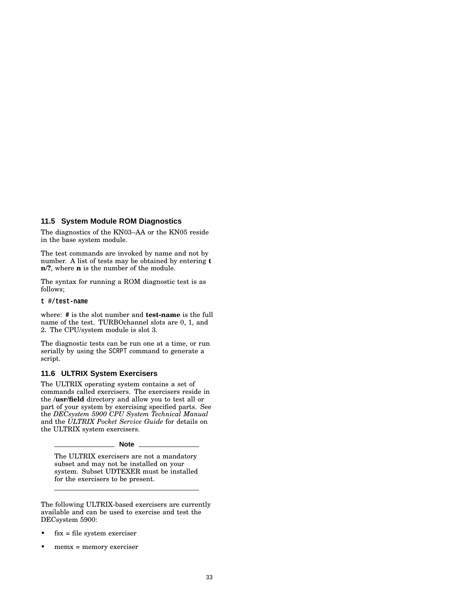#### **11.5 System Module ROM Diagnostics**

The diagnostics of the KN03–AA or the KN05 reside in the base system module.

The test commands are invoked by name and not by number. A list of tests may be obtained by entering **t n/?**, where **n** is the number of the module.

The syntax for running a ROM diagnostic test is as follows;

#### **t #/test-name**

where: **#** is the slot number and **test-name** is the full name of the test. TURBOchannel slots are 0, 1, and 2. The CPU/system module is slot 3.

The diagnostic tests can be run one at a time, or run serially by using the SCRPT command to generate a script.

#### **11.6 ULTRIX System Exercisers**

The ULTRIX operating system contains a set of commands called exercisers. The exercisers reside in the **/usr/field** directory and allow you to test all or part of your system by exercising specified parts. See the *DECsystem 5900 CPU System Technical Manual* and the *ULTRIX Pocket Service Guide* for details on the ULTRIX system exercisers.

**Note**

The ULTRIX exercisers are not a mandatory subset and may not be installed on your system. Subset UDTEXER must be installed for the exercisers to be present.

The following ULTRIX-based exercisers are currently available and can be used to exercise and test the DECsystem 5900:

- $fsx = file system exerciser$
- memx = memory exerciser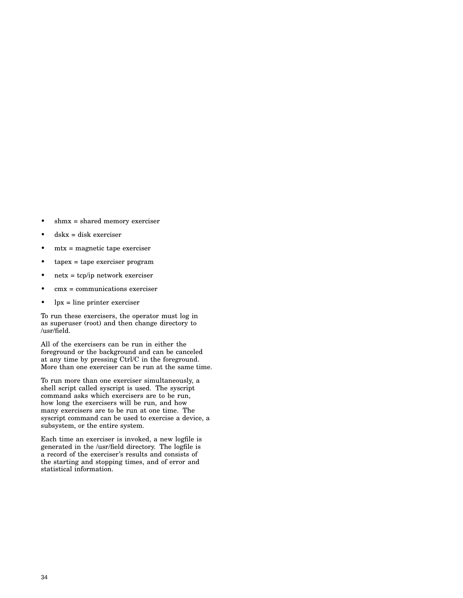- shmx = shared memory exerciser
- dskx = disk exerciser
- $mtx = magnetic tape exerciser$
- tapex = tape exerciser program
- $netx = tcp/ip$  network exerciser
- cmx = communications exerciser
- $\bullet$  lpx = line printer exerciser

To run these exercisers, the operator must log in as superuser (root) and then change directory to /usr/field.

All of the exercisers can be run in either the foreground or the background and can be canceled at any time by pressing Ctrl/C in the foreground. More than one exerciser can be run at the same time.

To run more than one exerciser simultaneously, a shell script called syscript is used. The syscript command asks which exercisers are to be run, how long the exercisers will be run, and how many exercisers are to be run at one time. The syscript command can be used to exercise a device, a subsystem, or the entire system.

Each time an exerciser is invoked, a new logfile is generated in the /usr/field directory. The logfile is a record of the exerciser's results and consists of the starting and stopping times, and of error and statistical information.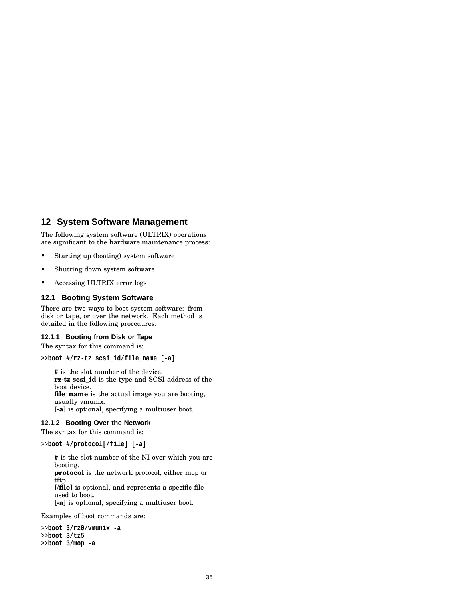# **12 System Software Management**

The following system software (ULTRIX) operations are significant to the hardware maintenance process:

- Starting up (booting) system software
- Shutting down system software
- Accessing ULTRIX error logs

#### **12.1 Booting System Software**

There are two ways to boot system software: from disk or tape, or over the network. Each method is detailed in the following procedures.

#### **12.1.1 Booting from Disk or Tape**

The syntax for this command is:

```
>>boot #/rz-tz scsi_id/file_name [-a]
```
**#** is the slot number of the device. **rz-tz scsi\_id** is the type and SCSI address of the boot device. **file\_name** is the actual image you are booting, usually vmunix. **[-a]** is optional, specifying a multiuser boot.

## **12.1.2 Booting Over the Network**

The syntax for this command is:

>>**boot #/protocol[/file] [-a]**

**#** is the slot number of the NI over which you are booting.

**protocol** is the network protocol, either mop or tftp.

**[/file]** is optional, and represents a specific file used to boot.

**[-a]** is optional, specifying a multiuser boot.

Examples of boot commands are:

```
>>boot 3/rz0/vmunix -a
>>boot 3/tz5
>>boot 3/mop -a
```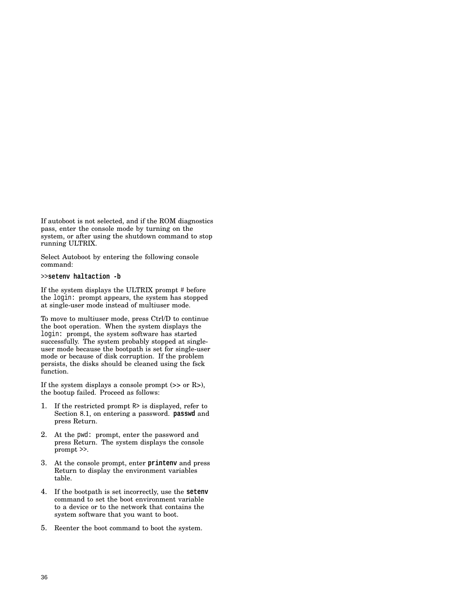If autoboot is not selected, and if the ROM diagnostics pass, enter the console mode by turning on the system, or after using the shutdown command to stop running ULTRIX.

Select Autoboot by entering the following console command:

>>**setenv haltaction -b**

If the system displays the ULTRIX prompt # before the login: prompt appears, the system has stopped at single-user mode instead of multiuser mode.

To move to multiuser mode, press Ctrl/D to continue the boot operation. When the system displays the login: prompt, the system software has started successfully. The system probably stopped at singleuser mode because the bootpath is set for single-user mode or because of disk corruption. If the problem persists, the disks should be cleaned using the fsck function.

If the system displays a console prompt  $(>$  or R $>$ ), the bootup failed. Proceed as follows:

- 1. If the restricted prompt R> is displayed, refer to Section 8.1, on entering a password. **passwd** and press Return.
- 2. At the pwd: prompt, enter the password and press Return. The system displays the console prompt >>.
- 3. At the console prompt, enter **printenv** and press Return to display the environment variables table.
- 4. If the bootpath is set incorrectly, use the **setenv** command to set the boot environment variable to a device or to the network that contains the system software that you want to boot.
- 5. Reenter the boot command to boot the system.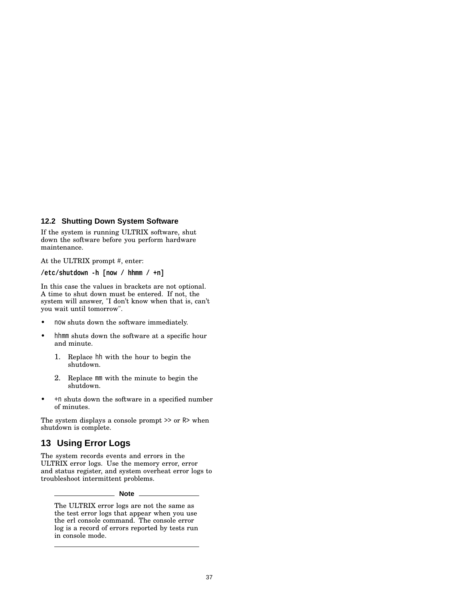#### **12.2 Shutting Down System Software**

If the system is running ULTRIX software, shut down the software before you perform hardware maintenance.

At the ULTRIX prompt #, enter:

**/etc/shutdown -h [now / hhmm / +n]**

In this case the values in brackets are not optional. A time to shut down must be entered. If not, the system will answer, "I don't know when that is, can't you wait until tomorrow".

- now shuts down the software immediately.
- hhmm shuts down the software at a specific hour and minute.
	- 1. Replace hh with the hour to begin the shutdown.
	- 2. Replace mm with the minute to begin the shutdown.
- +n shuts down the software in a specified number of minutes.

The system displays a console prompt >> or R> when shutdown is complete.

# **13 Using Error Logs**

The system records events and errors in the ULTRIX error logs. Use the memory error, error and status register, and system overheat error logs to troubleshoot intermittent problems.

#### **Note**

The ULTRIX error logs are not the same as the test error logs that appear when you use the erl console command. The console error log is a record of errors reported by tests run in console mode.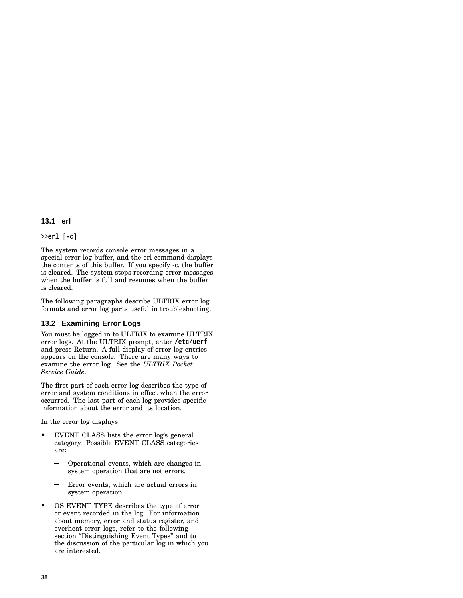#### **13.1 erl**

>>**erl** [**-c**]

The system records console error messages in a special error log buffer, and the erl command displays the contents of this buffer. If you specify -c, the buffer is cleared. The system stops recording error messages when the buffer is full and resumes when the buffer is cleared.

The following paragraphs describe ULTRIX error log formats and error log parts useful in troubleshooting.

#### **13.2 Examining Error Logs**

You must be logged in to ULTRIX to examine ULTRIX error logs. At the ULTRIX prompt, enter **/etc/uerf** and press Return. A full display of error log entries appears on the console. There are many ways to examine the error log. See the *ULTRIX Pocket Service Guide*.

The first part of each error log describes the type of error and system conditions in effect when the error occurred. The last part of each log provides specific information about the error and its location.

In the error log displays:

- EVENT CLASS lists the error log's general category. Possible EVENT CLASS categories are:
	- Operational events, which are changes in system operation that are not errors.
	- Error events, which are actual errors in system operation.
- OS EVENT TYPE describes the type of error or event recorded in the log. For information about memory, error and status register, and overheat error logs, refer to the following section "Distinguishing Event Types" and to the discussion of the particular log in which you are interested.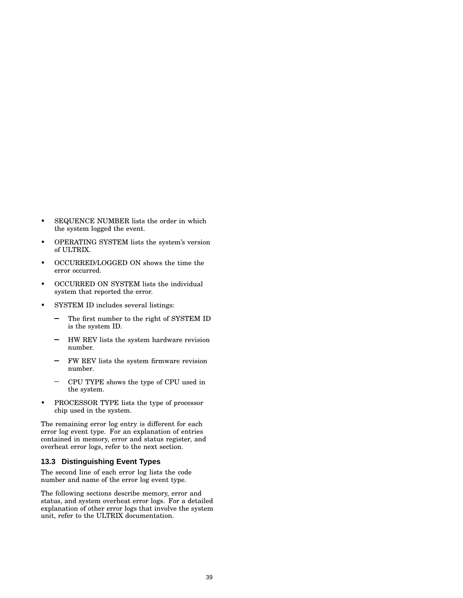- SEQUENCE NUMBER lists the order in which the system logged the event.
- OPERATING SYSTEM lists the system's version of ULTRIX.
- OCCURRED/LOGGED ON shows the time the error occurred.
- OCCURRED ON SYSTEM lists the individual system that reported the error.
- SYSTEM ID includes several listings:
	- $\overline{\phantom{0}}$ The first number to the right of SYSTEM ID is the system ID.
	- HW REV lists the system hardware revision number.
	- FW REV lists the system firmware revision number.
	- CPU TYPE shows the type of CPU used in the system.
- PROCESSOR TYPE lists the type of processor chip used in the system.

The remaining error log entry is different for each error log event type. For an explanation of entries contained in memory, error and status register, and overheat error logs, refer to the next section.

#### **13.3 Distinguishing Event Types**

The second line of each error log lists the code number and name of the error log event type.

The following sections describe memory, error and status, and system overheat error logs. For a detailed explanation of other error logs that involve the system unit, refer to the ULTRIX documentation.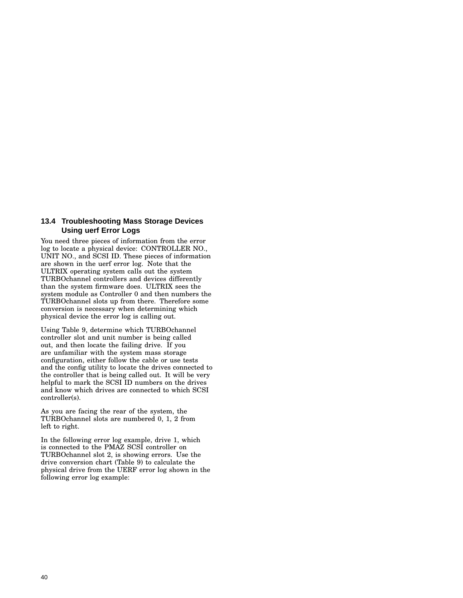#### **13.4 Troubleshooting Mass Storage Devices Using uerf Error Logs**

You need three pieces of information from the error log to locate a physical device: CONTROLLER NO., UNIT NO., and SCSI ID. These pieces of information are shown in the uerf error log. Note that the ULTRIX operating system calls out the system TURBOchannel controllers and devices differently than the system firmware does. ULTRIX sees the system module as Controller 0 and then numbers the TURBOchannel slots up from there. Therefore some conversion is necessary when determining which physical device the error log is calling out.

Using Table 9, determine which TURBOchannel controller slot and unit number is being called out, and then locate the failing drive. If you are unfamiliar with the system mass storage configuration, either follow the cable or use tests and the config utility to locate the drives connected to the controller that is being called out. It will be very helpful to mark the SCSI ID numbers on the drives and know which drives are connected to which SCSI controller(s).

As you are facing the rear of the system, the TURBOchannel slots are numbered 0, 1, 2 from left to right.

In the following error log example, drive 1, which is connected to the PMAZ SCSI controller on TURBOchannel slot 2, is showing errors. Use the drive conversion chart (Table 9) to calculate the physical drive from the UERF error log shown in the following error log example: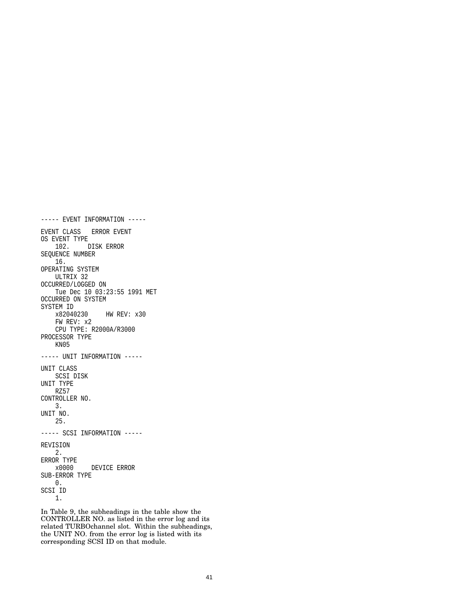```
----- EVENT INFORMATION -----
EVENT CLASS ERROR EVENT
OS EVENT TYPE
   102. DISK ERROR
SEQUENCE NUMBER
   16.
OPERATING SYSTEM
   ULTRIX 32
OCCURRED/LOGGED ON
   Tue Dec 10 03:23:55 1991 MET
OCCURRED ON SYSTEM
SYSTEM ID
   x82040230 HW REV: x30
   FW REV: x2
   CPU TYPE: R2000A/R3000
PROCESSOR TYPE
   KN05
----- UNIT INFORMATION -----
UNIT CLASS
   SCSI DISK
UNIT TYPE
   RZ57
CONTROLLER NO.
   3.
UNIT NO.
   25.
----- SCSI INFORMATION -----
REVISION
   2.
ERROR TYPE
   x0000 DEVICE ERROR
SUB-ERROR TYPE
   0.
SCSI ID
    1.
```
In Table 9, the subheadings in the table show the CONTROLLER NO. as listed in the error log and its related TURBOchannel slot. Within the subheadings, the UNIT NO. from the error log is listed with its corresponding SCSI ID on that module.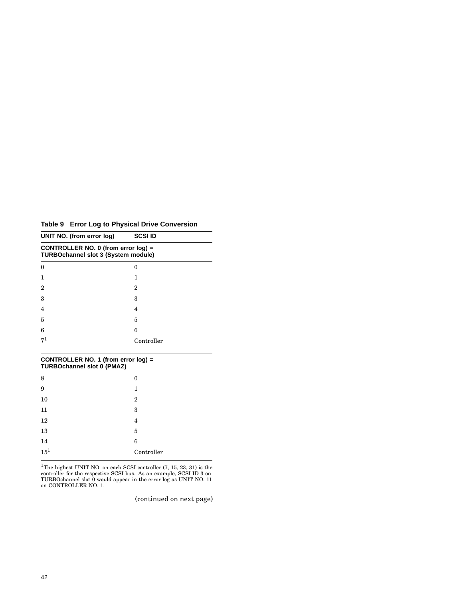**Table 9 Error Log to Physical Drive Conversion**

| UNIT NO. (from error log)                                                         | <b>SCSI ID</b> |  |
|-----------------------------------------------------------------------------------|----------------|--|
| CONTROLLER NO. 0 (from error log) =<br><b>TURBOchannel slot 3 (System module)</b> |                |  |
| $\Omega$                                                                          | 0              |  |
| 1                                                                                 | 1              |  |
| 2                                                                                 | 2              |  |
| 3                                                                                 | 3              |  |
| 4                                                                                 | 4              |  |
| 5                                                                                 | 5              |  |
| 6                                                                                 | 6              |  |
| 71                                                                                | Controller     |  |

| CONTROLLER NO. 1 (from error log) =<br><b>TURBOchannel slot 0 (PMAZ)</b> |            |
|--------------------------------------------------------------------------|------------|
| 8                                                                        | 0          |
| 9                                                                        | 1          |
| 10                                                                       | 2          |
| 11                                                                       | 3          |
| 12                                                                       | 4          |
| 13                                                                       | 5          |
| 14                                                                       | 6          |
| $15^{1}$                                                                 | Controller |

<sup>1</sup>The highest UNIT NO. on each SCSI controller (7, 15, 23, 31) is the controller for the respective SCSI bus. As an example, SCSI ID 3 on TURBOchannel slot 0 would appear in the error log as UNIT NO. 11 on CONTROLLER NO.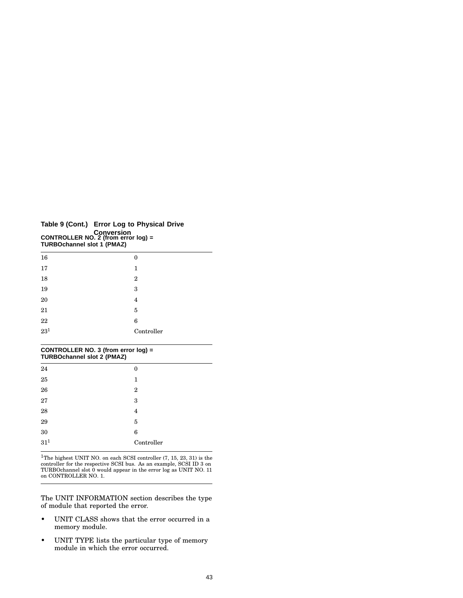| Table 9 (Cont.) Error Log to Physical Drive<br>Conversion<br>CONTROLLER NO. 2 (from error log) =<br><b>TURBOchannel slot 1 (PMAZ)</b> |  |
|---------------------------------------------------------------------------------------------------------------------------------------|--|
| 1C                                                                                                                                    |  |

| 16                | $\bf{0}$       |
|-------------------|----------------|
| 17                | 1              |
| 18                | $\overline{2}$ |
| 19                | 3              |
| $20\,$            | 4              |
| $21\,$            | $\overline{5}$ |
| $\frac{22}{23^1}$ | 6              |
|                   | Controller     |
|                   |                |

| CONTROLLER NO. 3 (from error log) =<br><b>TURBOchannel slot 2 (PMAZ)</b> |                |  |
|--------------------------------------------------------------------------|----------------|--|
| 24                                                                       | 0              |  |
| 25                                                                       | 1              |  |
| 26                                                                       | $\overline{2}$ |  |
| 27                                                                       | 3              |  |
| 28                                                                       | 4              |  |
| 29                                                                       | 5              |  |
| 30                                                                       | 6              |  |
| $31^{1}$                                                                 | Controller     |  |

 $^1\!{\rm The}$  highest UNIT NO. on each SCSI controller (7, 15, 23, 31) is the controller for the respective SCSI bus. As an example, SCSI ID 3 on TURBOchannel slot 0 would appear in the error log as UNIT NO. 11 on CONTROLLER NO. 1.

The UNIT INFORMATION section describes the type of module that reported the error.

- UNIT CLASS shows that the error occurred in a memory module.
- UNIT TYPE lists the particular type of memory module in which the error occurred.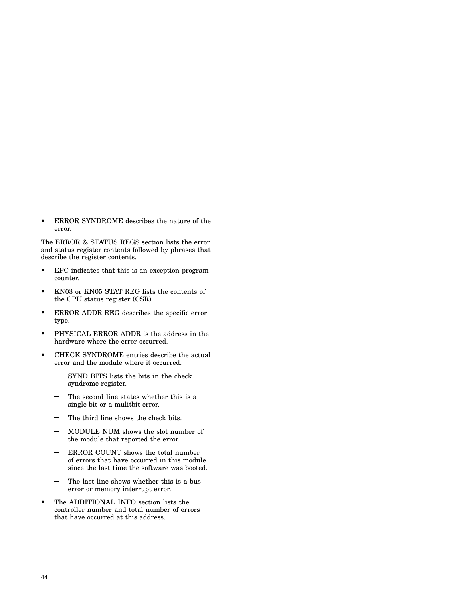• ERROR SYNDROME describes the nature of the error.

The ERROR & STATUS REGS section lists the error and status register contents followed by phrases that describe the register contents.

- EPC indicates that this is an exception program counter.
- KN03 or KN05 STAT REG lists the contents of the CPU status register (CSR).
- ERROR ADDR REG describes the specific error type.
- PHYSICAL ERROR ADDR is the address in the hardware where the error occurred.
- CHECK SYNDROME entries describe the actual error and the module where it occurred.
	- SYND BITS lists the bits in the check syndrome register.
	- The second line states whether this is a single bit or a mulitbit error.
	- The third line shows the check bits.
	- MODULE NUM shows the slot number of  $\overline{\phantom{0}}$ the module that reported the error.
	- ERROR COUNT shows the total number of errors that have occurred in this module since the last time the software was booted.
	- The last line shows whether this is a bus error or memory interrupt error.
- The ADDITIONAL INFO section lists the controller number and total number of errors that have occurred at this address.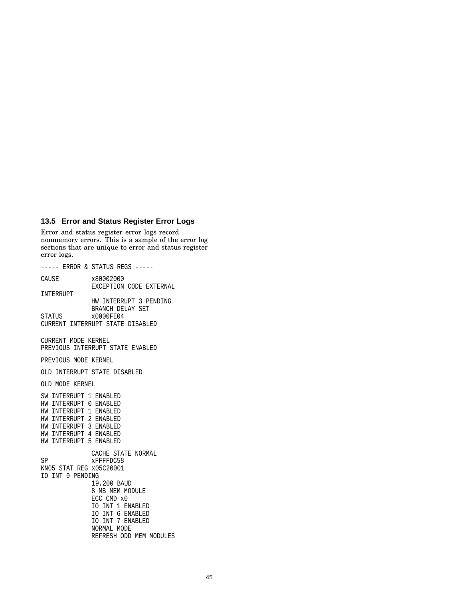#### **13.5 Error and Status Register Error Logs**

Error and status register error logs record nonmemory errors. This is a sample of the error log sections that are unique to error and status register error logs.

----- ERROR & STATUS REGS ----- CAUSE x80002000 EXCEPTION CODE EXTERNAL INTERRUPT HW INTERRUPT 3 PENDING BRANCH DELAY SET STATUS x0000FE04 CURRENT INTERRUPT STATE DISABLED CURRENT MODE KERNEL PREVIOUS INTERRUPT STATE ENABLED PREVIOUS MODE KERNEL OLD INTERRUPT STATE DISABLED OLD MODE KERNEL SW INTERRUPT 1 ENABLED HW INTERRUPT 0 ENABLED HW INTERRUPT 1 ENABLED HW INTERRUPT 2 ENABLED HW INTERRUPT 3 ENABLED HW INTERRUPT 4 ENABLED HW INTERRUPT 5 ENABLED CACHE STATE NORMAL SP xFFFFDC58 KN05 STAT REG x05C20001 IO INT 0 PENDING 19,200 BAUD 8 MB MEM MODULE ECC CMD x0 IO INT 1 ENABLED IO INT 6 ENABLED IO INT 7 ENABLED NORMAL MODE REFRESH ODD MEM MODULES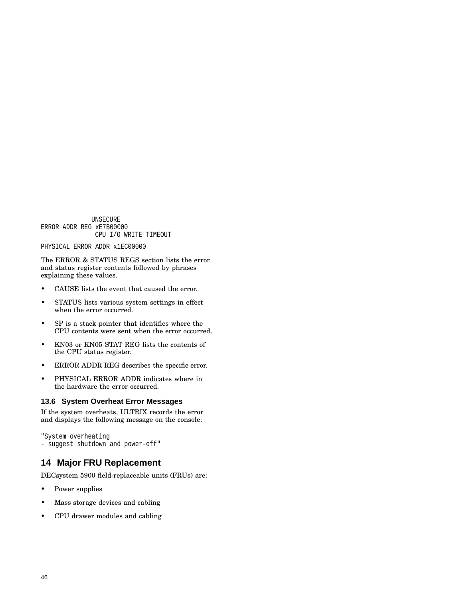UNSECURE ERROR ADDR REG xE7B00000 CPU I/O WRITE TIMEOUT

#### PHYSICAL ERROR ADDR x1EC00000

The ERROR & STATUS REGS section lists the error and status register contents followed by phrases explaining these values.

- CAUSE lists the event that caused the error.
- STATUS lists various system settings in effect when the error occurred.
- SP is a stack pointer that identifies where the CPU contents were sent when the error occurred.
- KN03 or KN05 STAT REG lists the contents of the CPU status register.
- ERROR ADDR REG describes the specific error.
- PHYSICAL ERROR ADDR indicates where in the hardware the error occurred.

#### **13.6 System Overheat Error Messages**

If the system overheats, ULTRIX records the error and displays the following message on the console:

```
"System overheating
- suggest shutdown and power-off"
```
# **14 Major FRU Replacement**

DECsystem 5900 field-replaceable units (FRUs) are:

- Power supplies
- Mass storage devices and cabling
- CPU drawer modules and cabling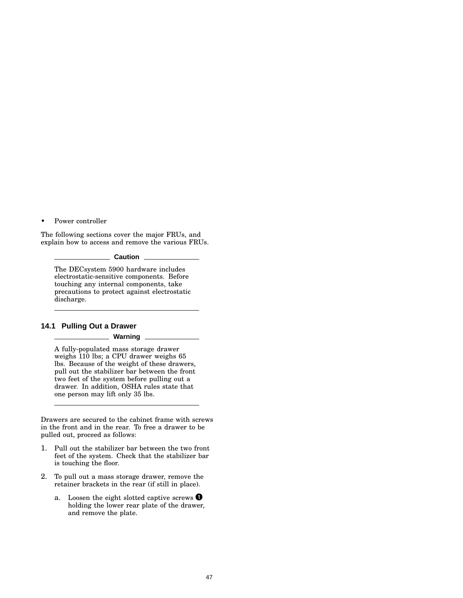• Power controller

The following sections cover the major FRUs, and explain how to access and remove the various FRUs.

**Caution**

The DECsystem 5900 hardware includes electrostatic-sensitive components. Before touching any internal components, take precautions to protect against electrostatic discharge.

#### **14.1 Pulling Out a Drawer**

#### **Warning**

A fully-populated mass storage drawer weighs 110 lbs; a CPU drawer weighs 65 lbs. Because of the weight of these drawers, pull out the stabilizer bar between the front two feet of the system before pulling out a drawer. In addition, OSHA rules state that one person may lift only 35 lbs.

Drawers are secured to the cabinet frame with screws in the front and in the rear. To free a drawer to be pulled out, proceed as follows:

- 1. Pull out the stabilizer bar between the two front feet of the system. Check that the stabilizer bar is touching the floor.
- 2. To pull out a mass storage drawer, remove the retainer brackets in the rear (if still in place).
	- a. Loosen the eight slotted captive screws  $\bullet$ holding the lower rear plate of the drawer, and remove the plate.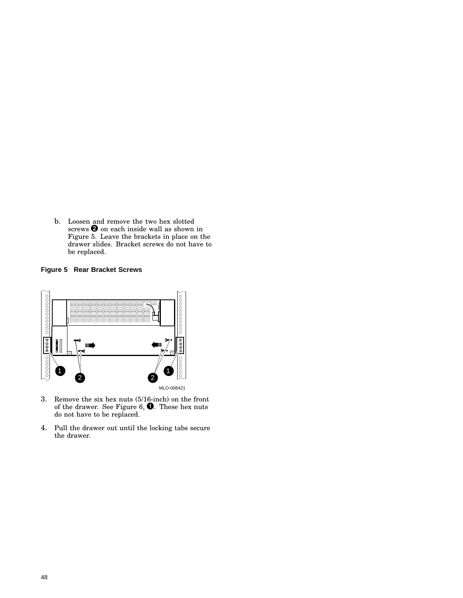b. Loosen and remove the two hex slotted screws  $\bullet$  on each inside wall as shown in Figure 5. Leave the brackets in place on the drawer slides. Bracket screws do not have to be replaced.

## **Figure 5 Rear Bracket Screws**



- 3. Remove the six hex nuts (5/16-inch) on the front of the drawer. See Figure 6,  $\bullet$ . These hex nuts do not have to be replaced.
- 4. Pull the drawer out until the locking tabs secure the drawer.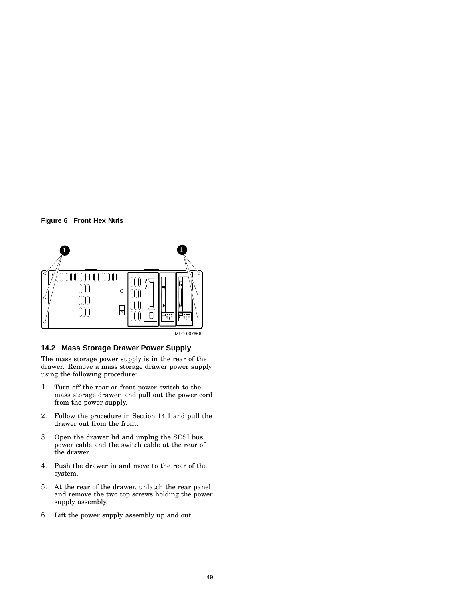



#### **14.2 Mass Storage Drawer Power Supply**

The mass storage power supply is in the rear of the drawer. Remove a mass storage drawer power supply using the following procedure:

- 1. Turn off the rear or front power switch to the mass storage drawer, and pull out the power cord from the power supply.
- 2. Follow the procedure in Section 14.1 and pull the drawer out from the front.
- 3. Open the drawer lid and unplug the SCSI bus power cable and the switch cable at the rear of the drawer.
- 4. Push the drawer in and move to the rear of the system.
- 5. At the rear of the drawer, unlatch the rear panel and remove the two top screws holding the power supply assembly.
- 6. Lift the power supply assembly up and out.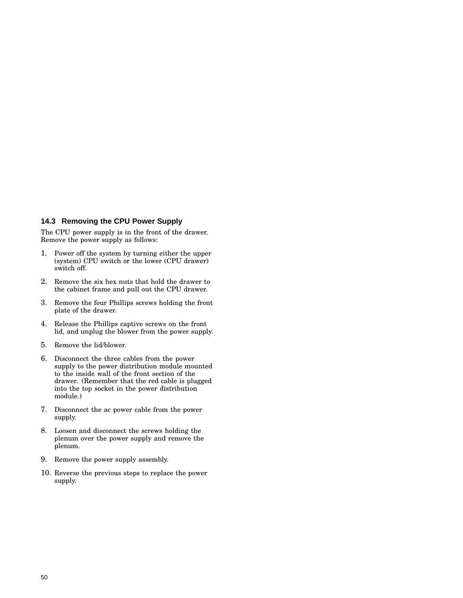#### **14.3 Removing the CPU Power Supply**

The CPU power supply is in the front of the drawer. Remove the power supply as follows:

- 1. Power off the system by turning either the upper (system) CPU switch or the lower (CPU drawer) switch off.
- 2. Remove the six hex nuts that hold the drawer to the cabinet frame and pull out the CPU drawer.
- 3. Remove the four Phillips screws holding the front plate of the drawer.
- 4. Release the Phillips captive screws on the front lid, and unplug the blower from the power supply.
- 5. Remove the lid/blower.
- 6. Disconnect the three cables from the power supply to the power distribution module mounted to the inside wall of the front section of the drawer. (Remember that the red cable is plugged into the top socket in the power distribution module.)
- 7. Disconnect the ac power cable from the power supply.
- 8. Loosen and disconnect the screws holding the plenum over the power supply and remove the plenum.
- 9. Remove the power supply assembly.
- 10. Reverse the previous steps to replace the power supply.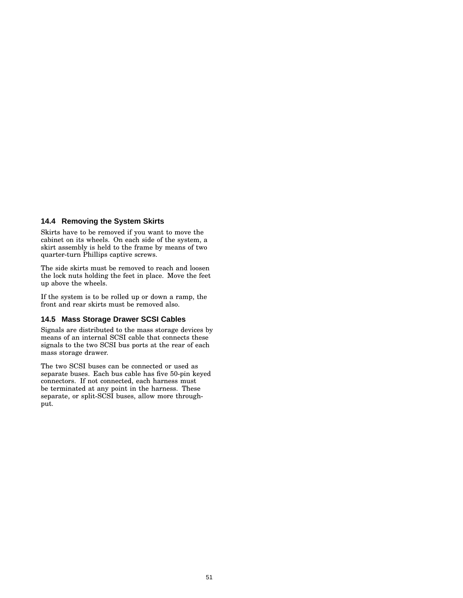#### **14.4 Removing the System Skirts**

Skirts have to be removed if you want to move the cabinet on its wheels. On each side of the system, a skirt assembly is held to the frame by means of two quarter-turn Phillips captive screws.

The side skirts must be removed to reach and loosen the lock nuts holding the feet in place. Move the feet up above the wheels.

If the system is to be rolled up or down a ramp, the front and rear skirts must be removed also.

### **14.5 Mass Storage Drawer SCSI Cables**

Signals are distributed to the mass storage devices by means of an internal SCSI cable that connects these signals to the two SCSI bus ports at the rear of each mass storage drawer.

The two SCSI buses can be connected or used as separate buses. Each bus cable has five 50-pin keyed connectors. If not connected, each harness must be terminated at any point in the harness. These separate, or split-SCSI buses, allow more throughput.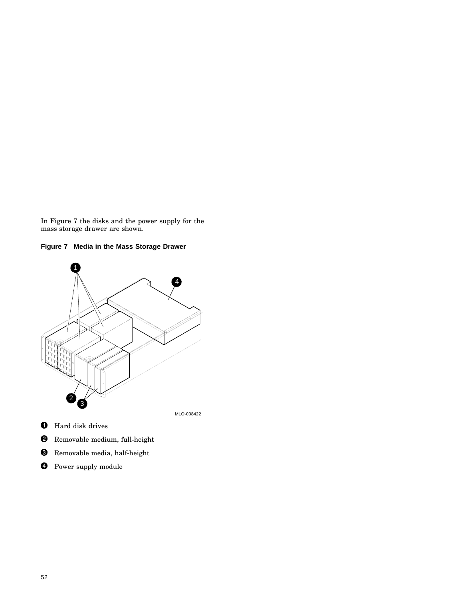In Figure 7 the disks and the power supply for the mass storage drawer are shown.



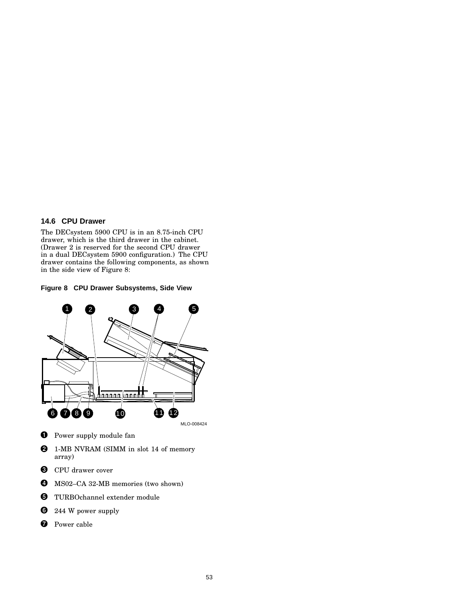### **14.6 CPU Drawer**

The DECsystem 5900 CPU is in an 8.75-inch CPU drawer, which is the third drawer in the cabinet. (Drawer 2 is reserved for the second CPU drawer in a dual DECsystem 5900 configuration.) The CPU drawer contains the following components, as shown in the side view of Figure 8:

**Figure 8 CPU Drawer Subsystems, Side View**



- **O** Power supply module fan
- **2** 1-MB NVRAM (SIMM in slot 14 of memory array)
- **6** CPU drawer cover
- $\bullet$  MS02–CA 32-MB memories (two shown)
- **O** TURBOchannel extender module
- $\bullet$  244 W power supply
- **O** Power cable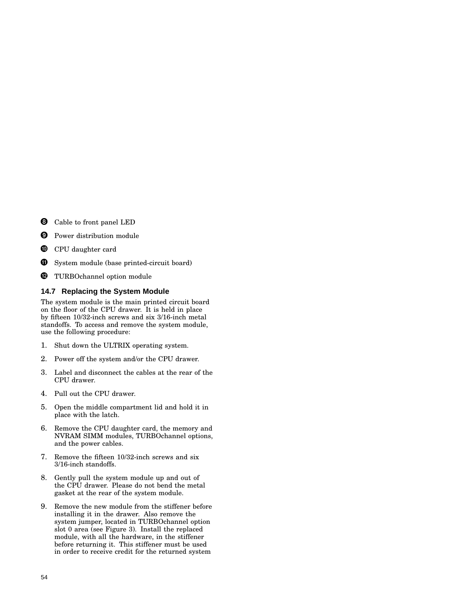- **O** Cable to front panel LED
- **9** Power distribution module
- **<sup>1</sup>** CPU daughter card
- $\bf \Phi$ System module (base printed-circuit board)
- <sup>0</sup> TURBOchannel option module

### **14.7 Replacing the System Module**

The system module is the main printed circuit board on the floor of the CPU drawer. It is held in place by fifteen 10/32-inch screws and six 3/16-inch metal standoffs. To access and remove the system module, use the following procedure:

- 1. Shut down the ULTRIX operating system.
- 2. Power off the system and/or the CPU drawer.
- 3. Label and disconnect the cables at the rear of the CPU drawer.
- 4. Pull out the CPU drawer.
- 5. Open the middle compartment lid and hold it in place with the latch.
- 6. Remove the CPU daughter card, the memory and NVRAM SIMM modules, TURBOchannel options, and the power cables.
- 7. Remove the fifteen 10/32-inch screws and six 3/16-inch standoffs.
- 8. Gently pull the system module up and out of the CPU drawer. Please do not bend the metal gasket at the rear of the system module.
- 9. Remove the new module from the stiffener before installing it in the drawer. Also remove the system jumper, located in TURBOchannel option slot 0 area (see Figure 3). Install the replaced module, with all the hardware, in the stiffener before returning it. This stiffener must be used in order to receive credit for the returned system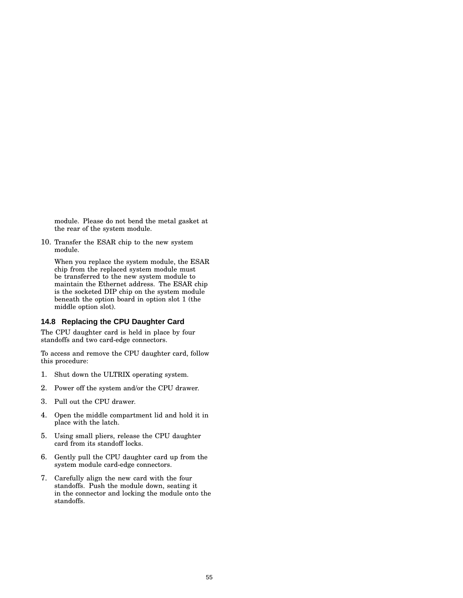module. Please do not bend the metal gasket at the rear of the system module.

10. Transfer the ESAR chip to the new system module.

When you replace the system module, the ESAR chip from the replaced system module must be transferred to the new system module to maintain the Ethernet address. The ESAR chip is the socketed DIP chip on the system module beneath the option board in option slot 1 (the middle option slot).

#### **14.8 Replacing the CPU Daughter Card**

The CPU daughter card is held in place by four standoffs and two card-edge connectors.

To access and remove the CPU daughter card, follow this procedure:

- 1. Shut down the ULTRIX operating system.
- 2. Power off the system and/or the CPU drawer.
- 3. Pull out the CPU drawer.
- 4. Open the middle compartment lid and hold it in place with the latch.
- 5. Using small pliers, release the CPU daughter card from its standoff locks.
- 6. Gently pull the CPU daughter card up from the system module card-edge connectors.
- 7. Carefully align the new card with the four standoffs. Push the module down, seating it in the connector and locking the module onto the standoffs.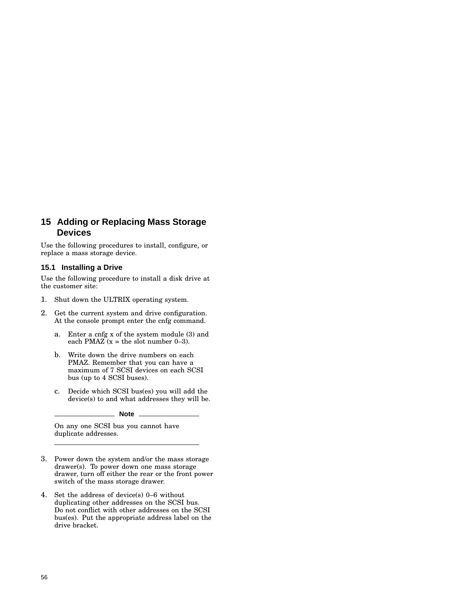# **15 Adding or Replacing Mass Storage Devices**

Use the following procedures to install, configure, or replace a mass storage device.

#### **15.1 Installing a Drive**

Use the following procedure to install a disk drive at the customer site:

- 1. Shut down the ULTRIX operating system.
- 2. Get the current system and drive configuration. At the console prompt enter the cnfg command.
	- a. Enter a cnfg x of the system module (3) and each PMAZ  $(x =$  the slot number 0–3).
	- b. Write down the drive numbers on each PMAZ. Remember that you can have a maximum of 7 SCSI devices on each SCSI bus (up to 4 SCSI buses).
	- c. Decide which SCSI bus(es) you will add the device(s) to and what addresses they will be.

**Note**

On any one SCSI bus you cannot have duplicate addresses.

- 3. Power down the system and/or the mass storage drawer(s). To power down one mass storage drawer, turn off either the rear or the front power switch of the mass storage drawer.
- 4. Set the address of device(s) 0–6 without duplicating other addresses on the SCSI bus. Do not conflict with other addresses on the SCSI bus(es). Put the appropriate address label on the drive bracket.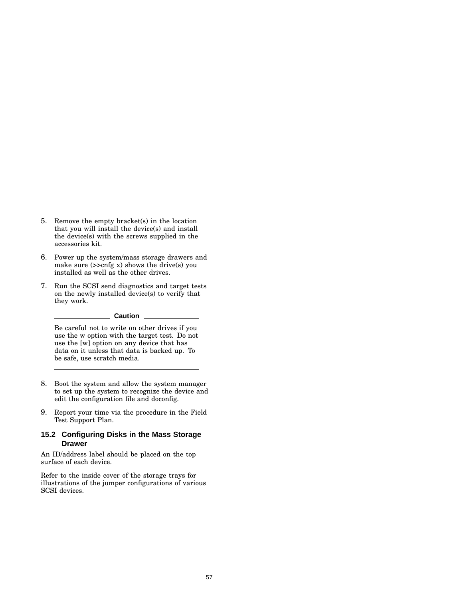- 5. Remove the empty bracket(s) in the location that you will install the device(s) and install the device(s) with the screws supplied in the accessories kit.
- 6. Power up the system/mass storage drawers and make sure (>>cnfg x) shows the drive(s) you installed as well as the other drives.
- 7. Run the SCSI send diagnostics and target tests on the newly installed device(s) to verify that they work.

#### **Caution**

Be careful not to write on other drives if you use the w option with the target test. Do not use the [w] option on any device that has data on it unless that data is backed up. To be safe, use scratch media.

- 8. Boot the system and allow the system manager to set up the system to recognize the device and edit the configuration file and doconfig.
- 9. Report your time via the procedure in the Field Test Support Plan.

#### **15.2 Configuring Disks in the Mass Storage Drawer**

An ID/address label should be placed on the top surface of each device.

Refer to the inside cover of the storage trays for illustrations of the jumper configurations of various SCSI devices.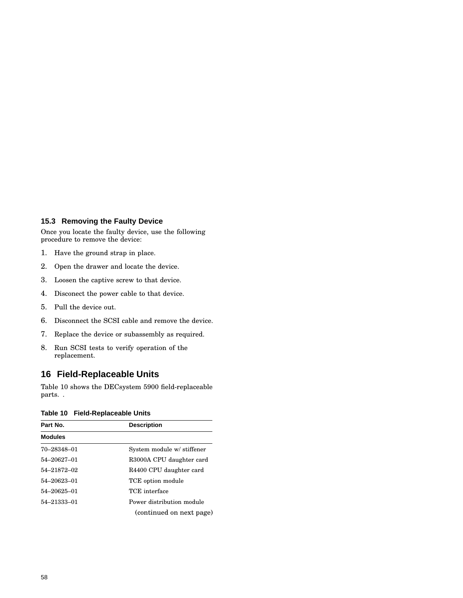#### **15.3 Removing the Faulty Device**

Once you locate the faulty device, use the following procedure to remove the device:

- 1. Have the ground strap in place.
- 2. Open the drawer and locate the device.
- 3. Loosen the captive screw to that device.
- 4. Disconect the power cable to that device.
- 5. Pull the device out.
- 6. Disconnect the SCSI cable and remove the device.
- 7. Replace the device or subassembly as required.
- 8. Run SCSI tests to verify operation of the replacement.

# **16 Field-Replaceable Units**

Table 10 shows the DECsystem 5900 field-replaceable parts. .

### **Table 10 Field-Replaceable Units**

| Part No.       | <b>Description</b>         |  |
|----------------|----------------------------|--|
| <b>Modules</b> |                            |  |
| 70-28348-01    | System module w/ stiffener |  |
| 54-20627-01    | R3000A CPU daughter card   |  |
| 54-21872-02    | R4400 CPU daughter card    |  |
| 54-20623-01    | TCE option module          |  |
| 54-20625-01    | TCE interface              |  |
| 54-21333-01    | Power distribution module  |  |
|                | (continued on next page)   |  |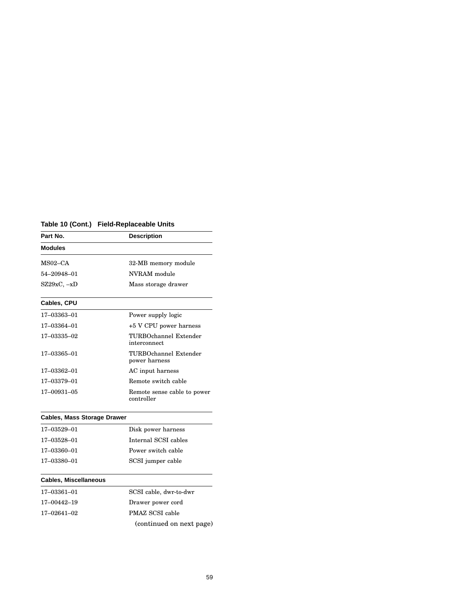|  | Table 10 (Cont.) Field-Replaceable Units |  |
|--|------------------------------------------|--|
|--|------------------------------------------|--|

| Part No.                           | <b>Description</b>                        |
|------------------------------------|-------------------------------------------|
| <b>Modules</b>                     |                                           |
| $MSO2-CA$                          | 32-MB memory module                       |
| 54-20948-01                        | NVRAM module                              |
| $SZ29xC, -xD$                      | Mass storage drawer                       |
| Cables, CPU                        |                                           |
| 17–03363–01                        | Power supply logic                        |
| 17-03364-01                        | +5 V CPU power harness                    |
| 17-03335-02                        | TURBOchannel Extender<br>interconnect     |
| 17–03365–01                        | TURBOchannel Extender<br>power harness    |
| 17-03362-01                        | AC input harness                          |
| 17-03379-01                        | Remote switch cable                       |
| 17-00931-05                        | Remote sense cable to power<br>controller |
|                                    |                                           |
| <b>Cables, Mass Storage Drawer</b> |                                           |
| 17-03529-01                        | Disk power harness                        |
| 17-03528-01                        | Internal SCSI cables                      |
| 17-03360-01                        | Power switch cable                        |

# **Cables, Miscellaneous**

| 17-03361-01 | SCSI cable, dwr-to-dwr   |
|-------------|--------------------------|
| 17-00442-19 | Drawer power cord        |
| 17–02641–02 | PMAZ SCSI cable          |
|             | (continued on next page) |

17–03380–01 SCSI jumper cable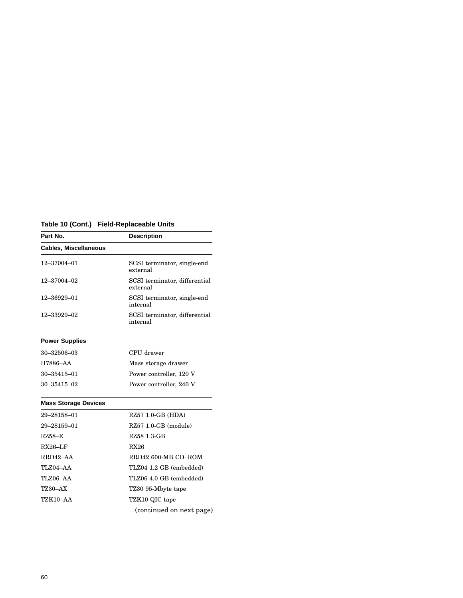# **Table 10 (Cont.) Field-Replaceable Units**

| Part No.                     | <b>Description</b>                        |  |
|------------------------------|-------------------------------------------|--|
| <b>Cables, Miscellaneous</b> |                                           |  |
| 12-37004-01                  | SCSI terminator, single-end<br>external   |  |
| 12-37004-02                  | SCSI terminator, differential<br>external |  |
| 12-36929-01                  | SCSI terminator, single-end<br>internal   |  |
| 12-33929-02                  | SCSI terminator, differential<br>internal |  |

# **Power Supplies**

| $30 - 32506 - 03$ | CPU drawer              |
|-------------------|-------------------------|
| H7886–AA          | Mass storage drawer     |
| $30 - 35415 - 01$ | Power controller, 120 V |
| $30 - 35415 - 02$ | Power controller, 240 V |

## **Mass Storage Devices**

| 29-28158-01     | RZ57 1.0-GB (HDA)        |
|-----------------|--------------------------|
| 29-28159-01     | RZ57 1.0-GB (module)     |
| $RZ58-F$        | RZ58 1.3-GB              |
| $RX26-LF$       | <b>RX26</b>              |
| RRD42-AA        | RRD42 600-MB CD-ROM      |
| TLZ04-AA        | TLZ04 1.2 GB (embedded)  |
| TLZ06-AA        | TLZ06 4.0 GB (embedded)  |
| <b>TZ30-AX</b>  | TZ30 95-Mbyte tape       |
| <b>TZK10-AA</b> | TZK10 QIC tape           |
|                 | (continued on next page) |
|                 |                          |